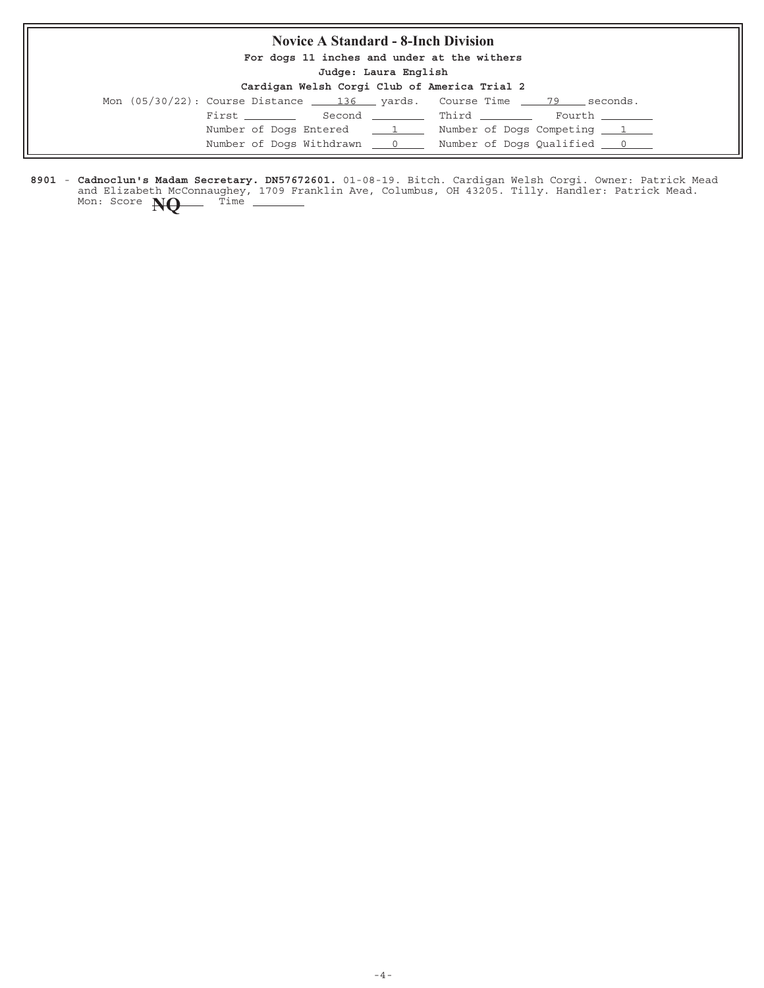## **Novice A Standard - 8-Inch Division**

**For dogs 11 inches and under at the withers**

**Judge: Laura English**

| Cardigan Welsh Corgi Club of America Trial 2 |  |  |  |  |  |  |
|----------------------------------------------|--|--|--|--|--|--|
|----------------------------------------------|--|--|--|--|--|--|

|  |               |                          | Mon (05/30/22): Course Distance 136 yards. Course Time 79 seconds.      |  |
|--|---------------|--------------------------|-------------------------------------------------------------------------|--|
|  | First _______ |                          | Second Third Fourth                                                     |  |
|  |               | Number of Dogs Entered 1 | Number of Dogs Competing 1                                              |  |
|  |               |                          | Number of Dogs Withdrawn ___ 0 _____ Number of Dogs Qualified ___ 0 ___ |  |

8901 - Cadnoclun's Madam Secretary. DN57672601. 01-08-19. Bitch. Cardigan Welsh Corgi. Owner: Patrick Mead and Elizabeth McConnaughey, 1709 Franklin Ave, Columbus, OH 43205. Tilly. Handler: Patrick Mead. **Cadnoclun's Madam Secretary. DN57672601.** Mon: Score **NQ** Time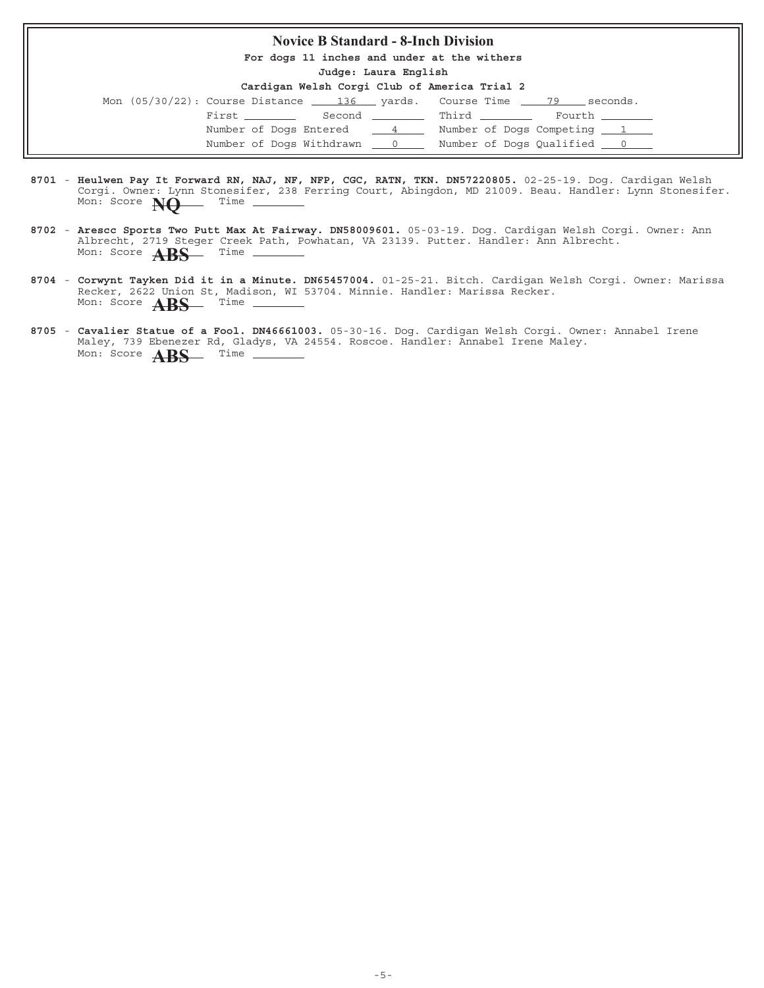## **Novice B Standard - 8-Inch Division**

**For dogs 11 inches and under at the withers**

**Judge: Laura English**

|                               |  | Mon (05/30/22): Course Distance 136 yards. Course Time 79 seconds. |
|-------------------------------|--|--------------------------------------------------------------------|
| First Second Third            |  | Fourth _______                                                     |
| Number of Dogs Entered 4      |  | Number of Dogs Competing 1                                         |
| Number of Dogs Withdrawn __ 0 |  | Number of Dogs Qualified 0                                         |

- 8701 Heulwen Pay It Forward RN, NAJ, NF, NFP, CGC, RATN, TKN. DN57220805. 02-25-19. Dog. Cardigan Welsh Corgi. Owner: Lynn Stonesifer, 238 Ferring Court, Abingdon, MD 21009. Beau. Handler: Lynn Stonesifer. **Heulwen Pay It Forward RN, NAJ, NF, NFP, CGC, RATN, TKN. DN57220805.** Mon: Score **NQ** Time
- 8702 Arescc Sports Two Putt Max At Fairway. DN58009601. 05-03-19. Dog. Cardigan Welsh Corgi. Owner: Ann Albrecht, 2719 Steger Creek Path, Powhatan, VA 23139. Putter. Handler: Ann Albrecht. **Arescc Sports Two Putt Max At Fairway. DN58009601.** Mon: Score **ABS** Time -
- 8704 Corwynt Tayken Did it in a Minute. DN65457004. 01-25-21. Bitch. Cardigan Welsh Corgi. Owner: Marissa Recker, 2622 Union St, Madison, WI 53704. Minnie. Handler: Marissa Recker. Mon: Score **ABS** Time
- 8705 Cavalier Statue of a Fool. DN46661003. 05-30-16. Dog. Cardigan Welsh Corgi. Owner: Annabel Irene Maley, 739 Ebenezer Rd, Gladys, VA 24554. Roscoe. Handler: Annabel Irene Maley. Mon: Score **ABS** Time –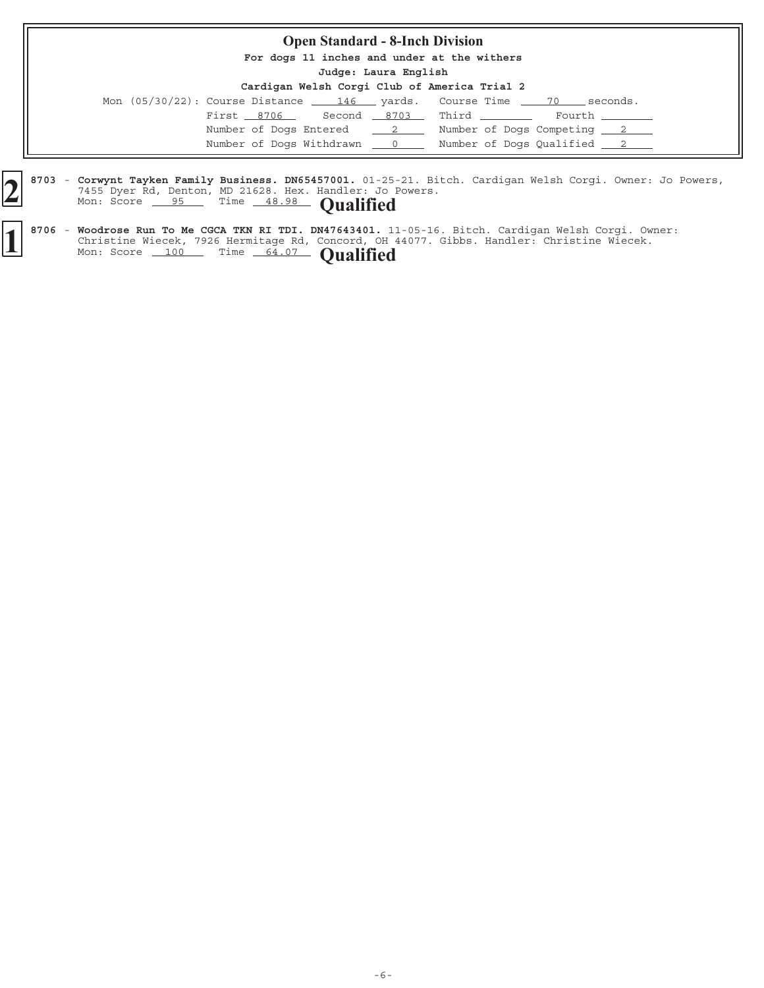| <b>Open Standard - 8-Inch Division</b>       |                      |                                                                           |  |  |  |  |  |
|----------------------------------------------|----------------------|---------------------------------------------------------------------------|--|--|--|--|--|
| For dogs 11 inches and under at the withers  |                      |                                                                           |  |  |  |  |  |
|                                              | Judge: Laura English |                                                                           |  |  |  |  |  |
| Cardigan Welsh Corgi Club of America Trial 2 |                      |                                                                           |  |  |  |  |  |
|                                              |                      | Mon $(05/30/22)$ : Course Distance $146$ yards. Course Time $70$ seconds. |  |  |  |  |  |
| First 8706 Second 8703 Third                 |                      | Fourth                                                                    |  |  |  |  |  |
| Number of Dogs Entered 2                     |                      | Number of Dogs Competing 2                                                |  |  |  |  |  |
| Number of Dogs Withdrawn 0                   |                      | Number of Dogs Qualified 2                                                |  |  |  |  |  |

8703 - Corwynt Tayken Family Business. DN65457001. 01-25-21. Bitch. Cardigan Welsh Corgi. Owner: Jo Powers, 7455 Dyer Rd, Denton, MD 21628. Hex. Handler: Jo Powers. **Corwynt Tayken Family Business. DN65457001.** 01-25<br>
7455 Dyer Rd, Denton, MD 21628. Hex. Handler: Jo<br>
Mon: Score 95 Time 48.98 **Qualified** 

<sup>8706 -</sup> Woodrose Run To Me CGCA TKN RI TDI. DN47643401. 11-05-16. Bitch. Cardigan Welsh Corgi. Owner: Christine Wiecek, 7926 Hermitage Rd, Concord, OH 44077. Gibbs. Handler: Christine Wiecek. **1** 8706 - Woodrose Run To Me CGCA TKN RI TDI. DN47643401. 11<br>Christine Wiecek, 7926 Hermitage Rd, Concord, OH<br>Mon: Score 100 Time 64.07 **Qualified**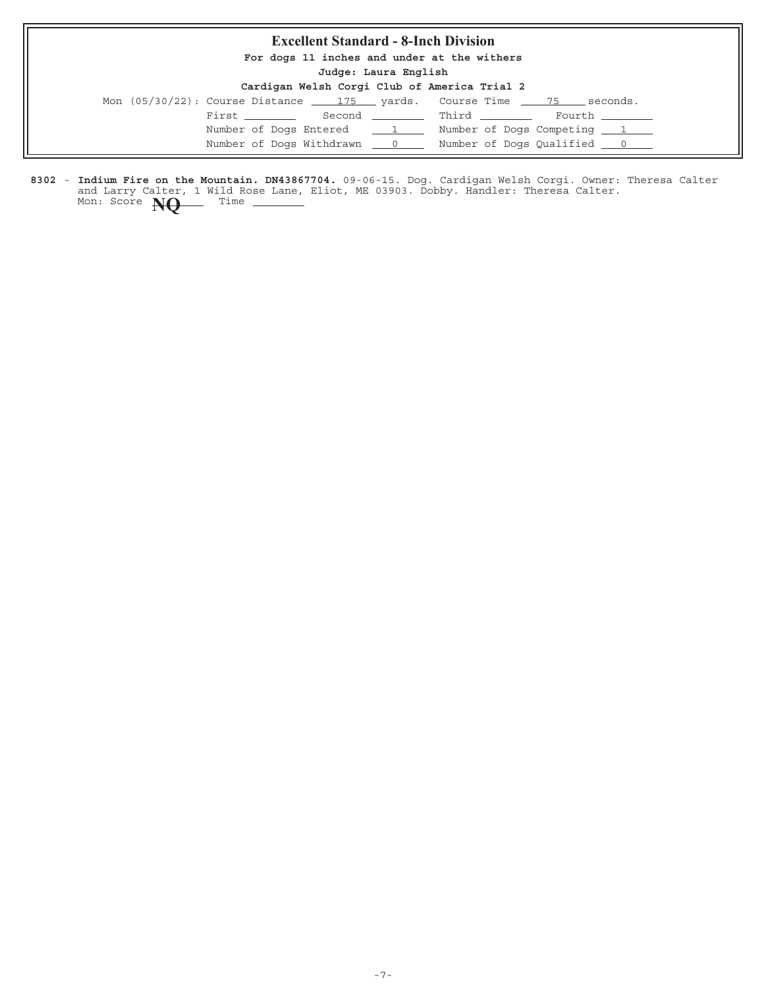# **Excellent Standard - 8-Inch Division**

**For dogs 11 inches and under at the withers**

**Judge: Laura English**

#### **Cardigan Welsh Corgi Club of America Trial 2**

|                | <u> varargan nvepn vvege veta ve navelsva sesta e</u> |                                                                                            |
|----------------|-------------------------------------------------------|--------------------------------------------------------------------------------------------|
|                |                                                       | Mon $(05/30/22)$ : Course Distance $\qquad 175$ yards. Course Time $\qquad 75$<br>seconds. |
| First ________ |                                                       | Second Third<br>Fourth _______                                                             |
|                | Number of Dogs Entered 1                              | Number of Dogs Competing 1                                                                 |
|                | Number of Dogs Withdrawn 0                            | Number of Dogs Qualified <u>0</u>                                                          |

8302 - Indium Fire on the Mountain. DN43867704. 09-06-15. Dog. Cardigan Welsh Corgi. Owner: Theresa Calter and Larry Calter, 1 Wild Rose Lane, Eliot, ME 03903. Dobby. Handler: Theresa Calter. **Indium Fire on the Mountain. DN43867704.** Mon: Score **NQ** Time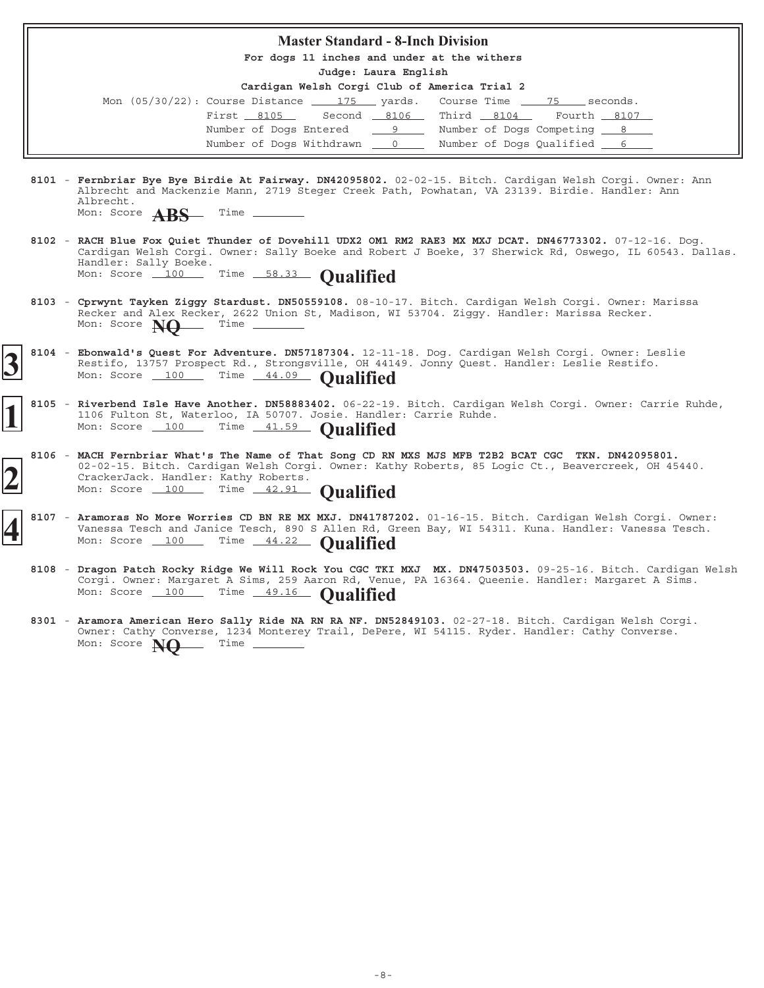#### **Master Standard - 8-Inch Division**

**For dogs 11 inches and under at the withers**

**Judge: Laura English**

| Mon $(05/30/22)$ : Course Distance $175$ yards. Course Time $75$ seconds. |  |  |                                     |  |
|---------------------------------------------------------------------------|--|--|-------------------------------------|--|
| First 8105 Second 8106 Third 8104 Fourth 8107                             |  |  |                                     |  |
|                                                                           |  |  |                                     |  |
| Number of Dogs Withdrawn 0                                                |  |  | Number of Dogs Qualified <u>6 6</u> |  |

- 8101 Fernbriar Bye Bye Birdie At Fairway. DN42095802. 02-02-15. Bitch. Cardigan Welsh Corgi. Owner: Ann Albrecht and Mackenzie Mann, 2719 Steger Creek Path, Powhatan, VA 23139. Birdie. Handler: Ann Albrecht.
	- Mon: Score **ABS** Time -
- 8102 RACH Blue Fox Quiet Thunder of Dovehill UDX2 OM1 RM2 RAE3 MX MXJ DCAT. DN46773302. 07-12-16. Dog. Cardigan Welsh Corgi. Owner: Sally Boeke and Robert J Boeke, 37 Sherwick Rd, Oswego, IL 60543. Dallas. Handler: Sally Boeke. Mon: Score 100 Time 58.33 **Qualified**
- 8103 Cprwynt Tayken Ziggy Stardust. DN50559108. 08-10-17. Bitch. Cardigan Welsh Corgi. Owner: Marissa Recker and Alex Recker, 2622 Union St, Madison, WI 53704. Ziggy. Handler: Marissa Recker.<br>Mon: Score **New State Commence** Mon: Score **NQ**
- 8104 Ebonwald's Quest For Adventure. DN57187304. 12-11-18. Dog. Cardigan Welsh Corgi. Owner: Leslie Restifo, 13757 Prospect Rd., Strongsville, OH 44149. Jonny Quest. Handler: Leslie Restifo. Mon: Score 100 Time 44.09 **Qualified**
- 8105 Riverbend Isle Have Another. DN58883402. 06-22-19. Bitch. Cardigan Welsh Corgi. Owner: Carrie Ruhde, 1106 Fulton St, Waterloo, IA 50707. Josie. Handler: Carrie Ruhde. Mon: Score 100 Time 41.59 **Qualified**
- **8106 MACH Fernbriar What's The Name of That Song CD RN MXS MJS MFB T2B2 BCAT CGC TKN. DN42095801.** 02-02-15. Bitch. Cardigan Welsh Corgi. Owner: Kathy Roberts, 85 Logic Ct., Beavercreek, OH 45440. CrackerJack. Handler: Kathy Roberts. **2** Mon: Score 100 Time 42.91 **Qualified** 
	- 8107 Aramoras No More Worries CD BN RE MX MXJ. DN41787202. 01-16-15. Bitch. Cardigan Welsh Corgi. Owner: Vanessa Tesch and Janice Tesch, 890 S Allen Rd, Green Bay, WI 54311. Kuna. Handler: Vanessa Tesch. Mon: Score 100 Time 44.22 **Qualified** 
		- 8108 Dragon Patch Rocky Ridge We Will Rock You CGC TKI MXJ MX. DN47503503. 09-25-16. Bitch. Cardigan Welsh Corgi. Owner: Margaret A Sims, 259 Aaron Rd, Venue, PA 16364. Queenie. Handler: Margaret A Sims. Mon: Score 100 Time 49.16 **Qualified**
	- 8301 Aramora American Hero Sally Ride NA RN RA NF. DN52849103. 02-27-18. Bitch. Cardigan Welsh Corgi. Owner: Cathy Converse, 1234 Monterey Trail, DePere, WI 54115. Ryder. Handler: Cathy Converse. **Aramora American Hero Sally Ride NA RN RA NF. DN52849103.** Mon: Score **NO** Time \_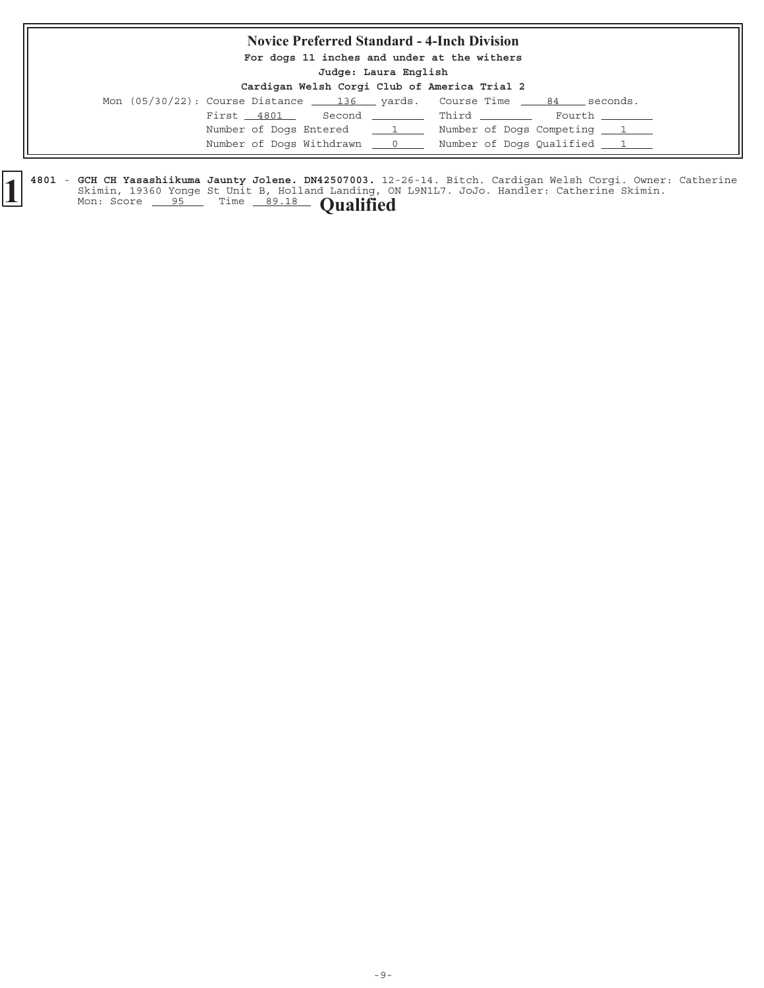#### **Novice Preferred Standard - 4-Inch Division**

**For dogs 11 inches and under at the withers**

**Judge: Laura English**

#### **Cardigan Welsh Corgi Club of America Trial 2**

|  |  |            |                            |                                  | Mon (05/30/22): Course Distance 136 yards. Course Time 84 seconds. |        |
|--|--|------------|----------------------------|----------------------------------|--------------------------------------------------------------------|--------|
|  |  | First 4801 |                            |                                  | Second ___________ Third ________                                  | Fourth |
|  |  |            | Number of Dogs Entered     | $\frac{1}{\sqrt{1-\frac{1}{2}}}$ | Number of Dogs Competing 1                                         |        |
|  |  |            | Number of Dogs Withdrawn 0 |                                  | Number of Dogs Qualified 1                                         |        |

4801 - GCH CH Yasashiikuma Jaunty Jolene. DN42507003. 12-26-14. Bitch. Cardigan Welsh Corgi. Owner: Catherine Skimin, 19360 Yonge St Unit B, Holland Landing, ON L9N1L7. JoJo. Handler: Catherine Skimin. **GCH CH Yasashiikuma Jaunty Jolene. DN42507003. 1** Mon: Score 95 Time 89.18 **Qualified**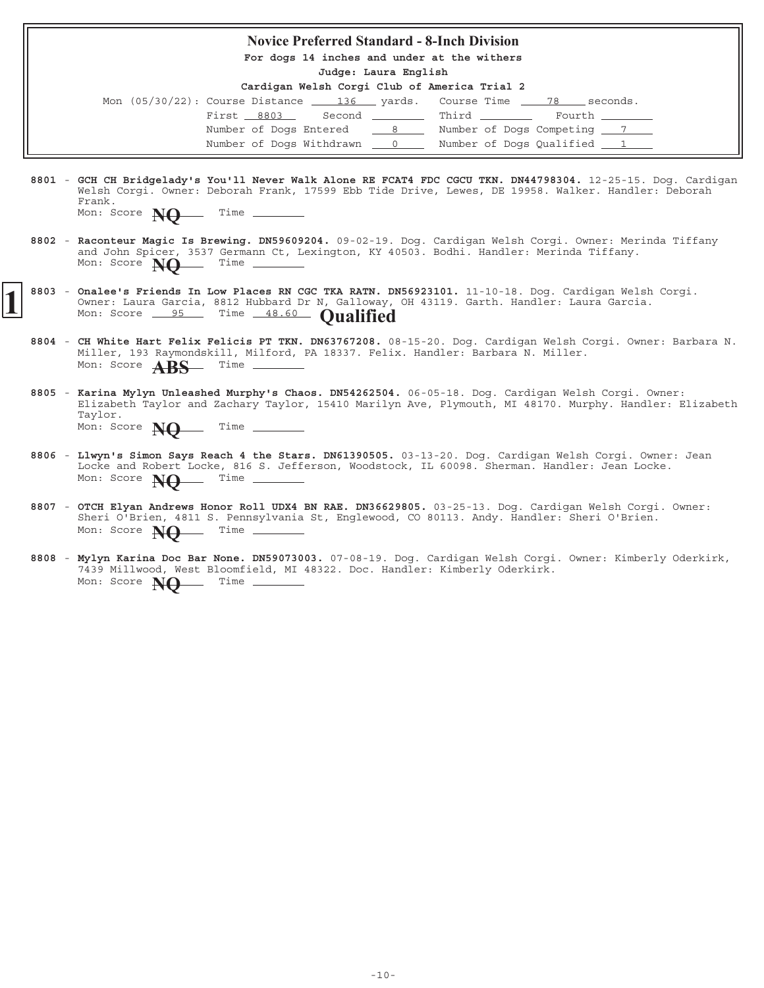# **Novice Preferred Standard - 8-Inch Division For dogs 14 inches and under at the withers Judge: Laura English Cardigan Welsh Corgi Club of America Trial 2** Mon  $(05/30/22)$ : Course Distance  $\underline{\hspace{1cm}}$  136 yards. Course Time  $\underline{\hspace{1cm}}$  78 seconds.  $\begin{tabular}{lllllllll} \multicolumn{2}{l}{{\bf First} $ \underline{~~8803} $ & \multicolumn{2}{c}{{\bf Second} $ & $\underline{~~$} \underline{~~$} \multicolumn{2}{l}{{\bf Third} $ & $\underline{~~$} \underline{~~} \underline{~~}}$ & \multicolumn{2}{l}{{\bf Fourth} $ & $\underline{~~}$} \end{tabular}$ Number of Dogs Entered  $\frac{8}{18}$  Number of Dogs Competing  $\frac{7}{18}$ Number of Dogs Withdrawn  $\qquad 0 \qquad$  Number of Dogs Qualified  $\qquad 1$ 8801 - GCH CH Bridgelady's You'll Never Walk Alone RE FCAT4 FDC CGCU TKN. DN44798304. 12-25-15. Dog. Cardigan Welsh Corgi. Owner: Deborah Frank, 17599 Ebb Tide Drive, Lewes, DE 19958. Walker. Handler: Deborah Frank. Mon: Score **NQ** Time -8802 - Raconteur Magic Is Brewing. DN59609204. 09-02-19. Dog. Cardigan Welsh Corgi. Owner: Merinda Tiffany and John Spicer, 3537 Germann Ct, Lexington, KY 40503. Bodhi. Handler: Merinda Tiffany. Mon: Score **NO** Time -

- 8803 Onalee's Friends In Low Places RN CGC TKA RATN. DN56923101. 11-10-18. Dog. Cardigan Welsh Corgi. Owner: Laura Garcia, 8812 Hubbard Dr N, Galloway, OH 43119. Garth. Handler: Laura Garcia. **1** 8803 - Onalee's Friends In Low Places RN CGC TKA RATN. DN56923101.<br>
Owner: Laura Garcia, 8812 Hubbard Dr N, Galloway, OH 43119.<br>
Mon: Score <u>95</u> Time 48.60 **Qualified** 
	- 8804 CH White Hart Felix Felicis PT TKN. DN63767208. 08-15-20. Dog. Cardigan Welsh Corgi. Owner: Barbara N. Miller, 193 Raymondskill, Milford, PA 18337. Felix. Handler: Barbara N. Miller. Mon: Score **ABS** Time -
	- 8805 Karina Mylyn Unleashed Murphy's Chaos. DN54262504. 06-05-18. Dog. Cardigan Welsh Corgi. Owner: Elizabeth Taylor and Zachary Taylor, 15410 Marilyn Ave, Plymouth, MI 48170. Murphy. Handler: Elizabeth Taylor. **Karina Mylyn Unleashed Murphy's Chaos. DN54262504.** Mon: Score **NO** Time
	- 8806 Llwyn's Simon Says Reach 4 the Stars. DN61390505. 03-13-20. Dog. Cardigan Welsh Corgi. Owner: Jean Locke and Robert Locke, 816 S. Jefferson, Woodstock, IL 60098. Sherman. Handler: Jean Locke. Mon: Score **NQ** Time \_
	- 8807 OTCH Elyan Andrews Honor Roll UDX4 BN RAE. DN36629805. 03-25-13. Dog. Cardigan Welsh Corgi. Owner: Sheri O'Brien, 4811 S. Pennsylvania St, Englewood, CO 80113. Andy. Handler: Sheri O'Brien. Mon: Score **NO** Time -
	- 8808 Mylyn Karina Doc Bar None. DN59073003. 07-08-19. Dog. Cardigan Welsh Corgi. Owner: Kimberly Oderkirk, 7439 Millwood, West Bloomfield, MI 48322. Doc. Handler: Kimberly Oderkirk. Mon: Score **NO** Time -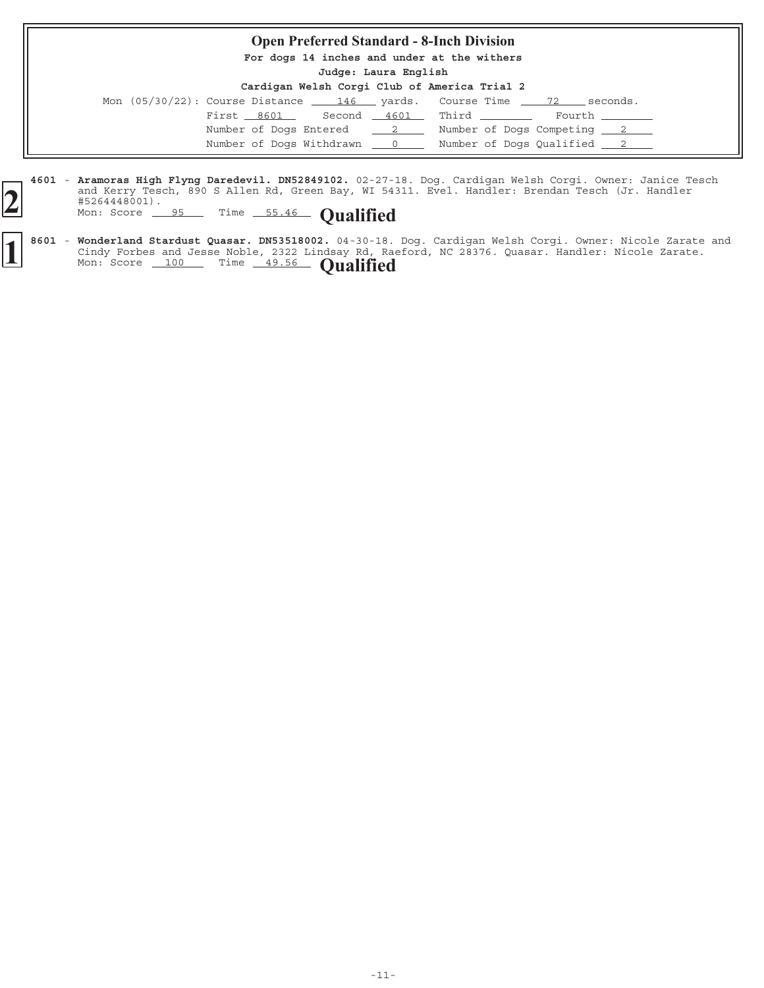# **Open Preferred Standard - 8-Inch Division For dogs 14 inches and under at the withers Judge: Laura English Cardigan Welsh Corgi Club of America Trial 2** Mon  $(05/30/22)$ : Course Distance  $\underline{\hspace{1cm}} 146$  yards. Course Time  $\underline{\hspace{1cm}} 72$  seconds. First  $8601$  Second  $4601$  Third  $\qquad$  Fourth Number of Dogs Entered  $\frac{2}{2}$  Number of Dogs Competing  $\frac{2}{2}$ Number of Dogs Withdrawn  $\qquad 0$  Number of Dogs Qualified  $\qquad 2$

4601 - Aramoras High Flyng Daredevil. DN52849102. 02-27-18. Dog. Cardigan Welsh Corgi. Owner: Janice Tesch and Kerry Tesch, 890 S Allen Rd, Green Bay, WI 54311. Evel. Handler: Brendan Tesch (Jr. Handler #5264448001). **Aramoras High Flyng Daredevil. DN52849102. 2** and Kerry Tesch, 890 S Allen Rd, Green Bay, W1 54.<br>
#5264448001).<br>
Mon: Score 95 Time 55.46 **Qualified** 

8601 - Wonderland Stardust Quasar. DN53518002. 04-30-18. Dog. Cardigan Welsh Corgi. Owner: Nicole Zarate and Cindy Forbes and Jesse Noble, 2322 Lindsay Rd, Raeford, NC 28376. Quasar. Handler: Nicole Zarate. **Wonderland Stardust Quasar. DN53518002. 1** Mon: Score 100 Time 49.56 **Qualified**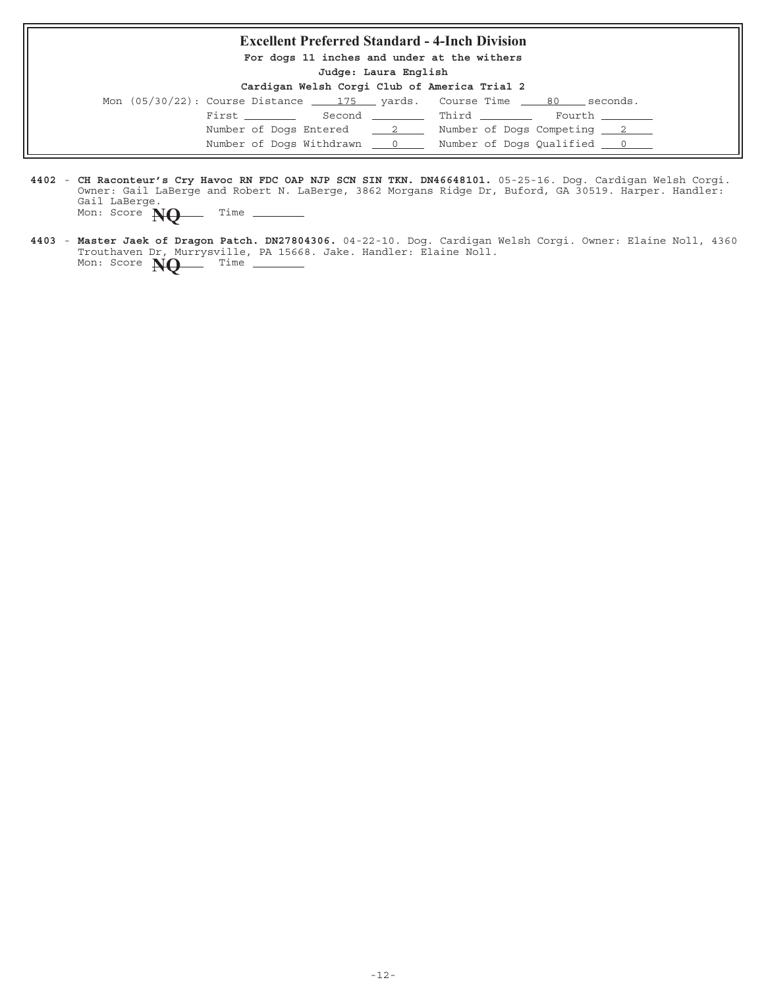#### **Excellent Preferred Standard - 4-Inch Division**

**For dogs 11 inches and under at the withers**

**Judge: Laura English**

| Cardigan Welsh Corgi Club of America Trial 2 |  |  |  |  |  |  |
|----------------------------------------------|--|--|--|--|--|--|
|----------------------------------------------|--|--|--|--|--|--|

| Mon $(05/30/22)$ : Course Distance $\qquad 175$ yards. Course Time $\qquad 80$ |                            |  |                                | seconds.                   |
|--------------------------------------------------------------------------------|----------------------------|--|--------------------------------|----------------------------|
|                                                                                | First ________             |  | Second _________ Third _______ | Fourth _______             |
|                                                                                | Number of Dogs Entered 2   |  |                                | Number of Dogs Competing 2 |
|                                                                                | Number of Dogs Withdrawn 0 |  |                                | Number of Dogs Qualified 0 |

4402 - CH Raconteur's Cry Havoc RN FDC OAP NJP SCN SIN TKN. DN46648101. 05-25-16. Dog. Cardigan Welsh Corgi. Owner: Gail LaBerge and Robert N. LaBerge, 3862 Morgans Ridge Dr, Buford, GA 30519. Harper. Handler: Gail LaBerge. **CH Raconteur's Cry Havoc RN FDC OAP NJP SCN SIN TKN. DN46648101.** Mon: Score **NQ** Time -

4403 - Master Jaek of Dragon Patch. DN27804306. 04-22-10. Dog. Cardigan Welsh Corgi. Owner: Elaine Noll, 4360 Trouthaven Dr, Murrysville, PA 15668. Jake. Handler: Elaine Noll. **Master Jaek of Dragon Patch. DN27804306.** Mon: Score  $NQ$ <sup>Time</sup> –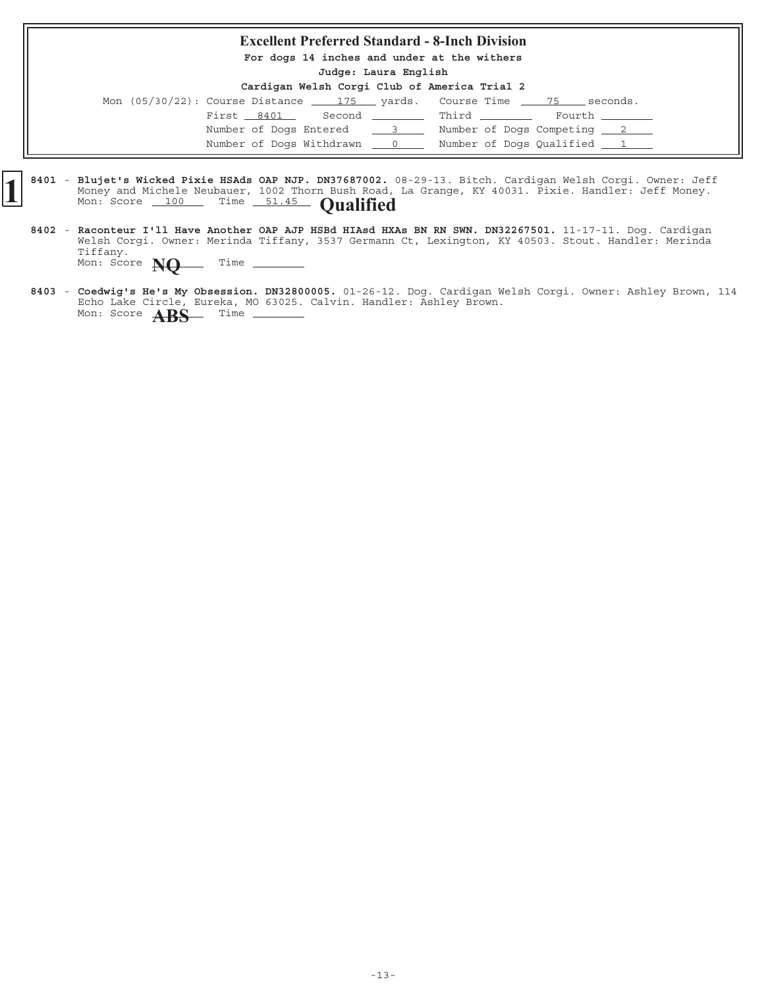#### **Excellent Preferred Standard - 8-Inch Division**

**For dogs 14 inches and under at the withers**

**Judge: Laura English**

| Mon $(05/30/22)$ : Course Distance $\underline{\qquad 175}$ yards. Course Time $\underline{\qquad 75}$ seconds. |              |  |  |                            |
|-----------------------------------------------------------------------------------------------------------------|--------------|--|--|----------------------------|
| First 8401                                                                                                      | Second Third |  |  | Fourth _______             |
| Number of Dogs Entered 3                                                                                        |              |  |  | Number of Dogs Competing 2 |
| Number of Dogs Withdrawn 0                                                                                      |              |  |  | Number of Dogs Qualified 1 |

- 8401 Blujet's Wicked Pixie HSAds OAP NJP. DN37687002. 08-29-13. Bitch. Cardigan Welsh Corgi. Owner: Jeff Money and Michele Neubauer, 1002 Thorn Bush Road, La Grange, KY 40031. Pixie. Handler: Jeff Money. **Blujet's Wicked Pixie HSAds OAP NJP. DN37687002.** Money and Michele Neubauer, 1002 Thorn Bush Road, Mon: Score 100 Time 51.45 **Qualified** 
	- 8402 Raconteur I'll Have Another OAP AJP HSBd HIAsd HXAs BN RN SWN. DN32267501. 11-17-11. Dog. Cardigan Welsh Corgi. Owner: Merinda Tiffany, 3537 Germann Ct, Lexington, KY 40503. Stout. Handler: Merinda Tiffany. **Raconteur I'll Have Another OAP AJP HSBd HIAsd HXAs BN RN SWN. DN32267501.** Mon: Score **NQ** Time -
	- 8403 Coedwig's He's My Obsession. DN32800005. 01-26-12. Dog. Cardigan Welsh Corgi. Owner: Ashley Brown, 114 Echo Lake Circle, Eureka, MO 63025. Calvin. Handler: Ashley Brown. **Coedwig's He's My Obsession. DN32800005.** Mon: Score **ABS** Time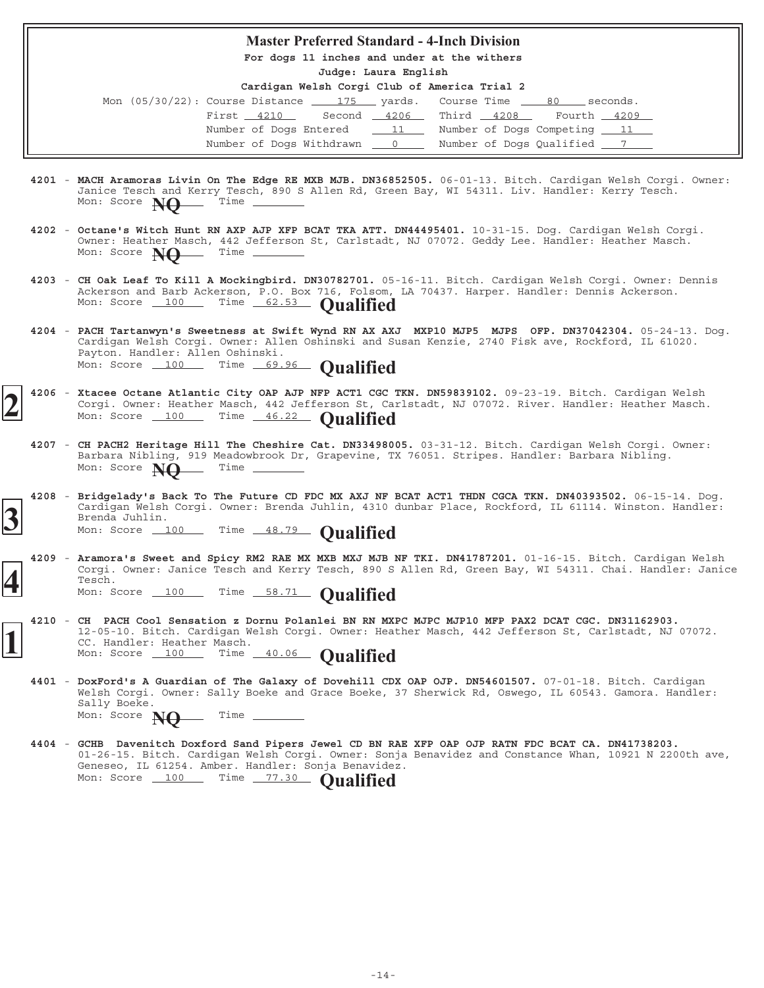#### **Master Preferred Standard - 4-Inch Division**

**For dogs 11 inches and under at the withers**

**Judge: Laura English**

| Mon $(05/30/22)$ : Course Distance $175$ yards. Course Time $80$ seconds. |  |                                  |             |  |
|---------------------------------------------------------------------------|--|----------------------------------|-------------|--|
| First $4210$ Second $4206$ Third $4208$                                   |  |                                  | Fourth 4209 |  |
| Number of Dogs Entered 11 Number of Dogs Competing 11                     |  |                                  |             |  |
| Number of Dogs Withdrawn 0                                                |  | Number of Dogs Qualified _______ |             |  |

- 4201 MACH Aramoras Livin On The Edge RE MXB MJB. DN36852505. 06-01-13. Bitch. Cardigan Welsh Corgi. Owner: Janice Tesch and Kerry Tesch, 890 S Allen Rd, Green Bay, WI 54311. Liv. Handler: Kerry Tesch.<br>Mon: Score **Nine Time** \_\_\_\_\_\_\_\_\_\_\_\_\_ Mon: Score **NO**
- 4202 Octane's Witch Hunt RN AXP AJP XFP BCAT TKA ATT. DN44495401. 10-31-15. Dog. Cardigan Welsh Corgi. Owner: Heather Masch, 442 Jefferson St, Carlstadt, NJ 07072. Geddy Lee. Handler: Heather Masch. **Octane's Witch Hunt RN AXP AJP XFP BCAT TKA ATT. DN44495401.** Mon: Score **NO** Time
- 4203 CH Oak Leaf To Kill A Mockingbird. DN30782701. 05-16-11. Bitch. Cardigan Welsh Corgi. Owner: Dennis Ackerson and Barb Ackerson, P.O. Box 716, Folsom, LA 70437. Harper. Handler: Dennis Ackerson. Ackerson and pair Ackerson, 1111 (Ackerson and pair ackerson and **Dualified**
- **4204** 05-24-13. Dog. **PACH Tartanwyn's Sweetness at Swift Wynd RN AX AXJ MXP10 MJP5 MJPS OFP. DN37042304.** Cardigan Welsh Corgi. Owner: Allen Oshinski and Susan Kenzie, 2740 Fisk ave, Rockford, IL 61020. Payton. Handler: Allen Oshinski. Mon: Score 100 Time 69.96 **Qualified**
- 4206 Xtacee Octane Atlantic City OAP AJP NFP ACT1 CGC TKN. DN59839102. 09-23-19. Bitch. Cardigan Welsh Corgi. Owner: Heather Masch, 442 Jefferson St, Carlstadt, NJ 07072. River. Handler: Heather Masch. Mon: Score 100 Time 46.22 **Qualified**
- 4207 CH PACH2 Heritage Hill The Cheshire Cat. DN33498005. 03-31-12. Bitch. Cardigan Welsh Corgi. Owner: Barbara Nibling, 919 Meadowbrook Dr, Grapevine, TX 76051. Stripes. Handler: Barbara Nibling. Mon: Score **NO** Time \_
- **4208** 06-15-14. Dog. **Bridgelady's Back To The Future CD FDC MX AXJ NF BCAT ACT1 THDN CGCA TKN. DN40393502.** Cardigan Welsh Corgi. Owner: Brenda Juhlin, 4310 dunbar Place, Rockford, IL 61114. Winston. Handler: Brenda Juhlin. **3** Cardigan Welsh Corgi. Owner: Brenda Juhlin, 4310 of Brenda Juhlin.<br>
Mon: Score 100 Time 48.79 **Qualified**
- 4209 Aramora's Sweet and Spicy RM2 RAE MX MXB MXJ MJB NF TKI. DN41787201. 01-16-15. Bitch. Cardigan Welsh Corgi. Owner: Janice Tesch and Kerry Tesch, 890 S Allen Rd, Green Bay, WI 54311. Chai. Handler: Janice Tesch. **4** Mon: Score 100 Time 58.71 **Qualified**
	- **4210 CH PACH Cool Sensation z Dornu Polanlei BN RN MXPC MJPC MJP10 MFP PAX2 DCAT CGC. DN31162903.** 12-05-10. Bitch. Cardigan Welsh Corgi. Owner: Heather Masch, 442 Jefferson St, Carlstadt, NJ 07072. CC. Handler: Heather Masch. **1** Mon: Score 100 Time 40.06 **Qualified**
		- 4401 DoxFord's A Guardian of The Galaxy of Dovehill CDX OAP OJP. DN54601507. 07-01-18. Bitch. Cardigan Welsh Corgi. Owner: Sally Boeke and Grace Boeke, 37 Sherwick Rd, Oswego, IL 60543. Gamora. Handler: Sally Boeke. Mon: Score **NO** Time -
		- **4404 GCHB Davenitch Doxford Sand Pipers Jewel CD BN RAE XFP OAP OJP RATN FDC BCAT CA. DN41738203.** 01-26-15. Bitch. Cardigan Welsh Corgi. Owner: Sonja Benavidez and Constance Whan, 10921 N 2200th ave, Geneseo, IL 61254. Amber. Handler: Sonja Benavidez. Mon: Score 100 Time 77.30 **Qualified**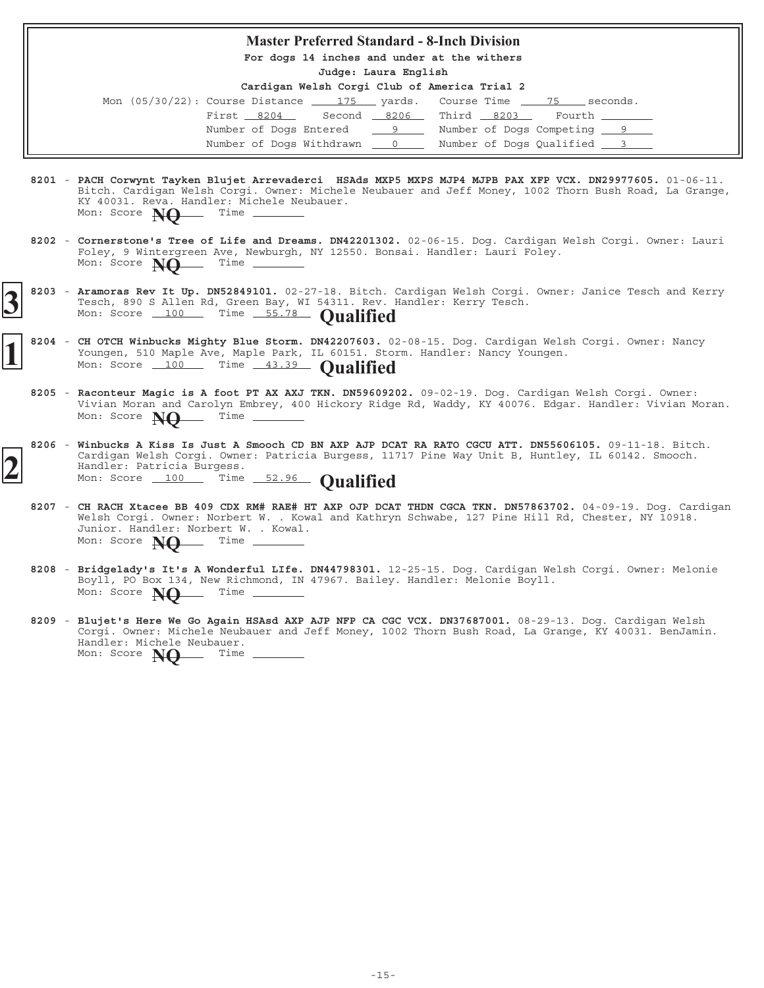#### **Master Preferred Standard - 8-Inch Division**

**For dogs 14 inches and under at the withers**

**Judge: Laura English**

| Mon $(05/30/22)$ : Course Distance $\underline{\qquad}$ 175 yards. Course Time $\underline{\qquad}$ 75 seconds. |  |                            |                 |  |
|-----------------------------------------------------------------------------------------------------------------|--|----------------------------|-----------------|--|
| First 8204 Second 8206 Third 8203                                                                               |  |                            | Fourth ________ |  |
| Number of Dogs Entered 9 Number of Dogs Competing 9                                                             |  |                            |                 |  |
| Number of Dogs Withdrawn 0                                                                                      |  | Number of Dogs Qualified 3 |                 |  |

- 8201 PACH Corwynt Tayken Blujet Arrevaderci HSAds MXP5 MXPS MJP4 MJPB PAX XFP VCX. DN29977605. 01-06-11. Bitch. Cardigan Welsh Corgi. Owner: Michele Neubauer and Jeff Money, 1002 Thorn Bush Road, La Grange, KY 40031. Reva. Handler: Michele Neubauer.<br>Mon: Score  $M\Omega$  Time \_\_\_\_\_\_\_\_\_  $M$  Mon: Score  $NQ$
- 8202 Cornerstone's Tree of Life and Dreams. DN42201302. 02-06-15. Dog. Cardigan Welsh Corgi. Owner: Lauri Foley, 9 Wintergreen Ave, Newburgh, NY 12550. Bonsai. Handler: Lauri Foley. Mon: Score **NO** Time \_
- 8203 Aramoras Rev It Up. DN52849101. 02-27-18. Bitch. Cardigan Welsh Corgi. Owner: Janice Tesch and Kerry Tesch, 890 S Allen Rd, Green Bay, WI 54311. Rev. Handler: Kerry Tesch. **3** 8203 - Aramoras Rev It Up. DN52849101. 02-27-18. Bitch. Tesch, 890 S Allen Rd, Green Bay, WI 54311. Rev. 1 Mon: Score 100 Time 55.78 **Qualified**
- 8204 CH OTCH Winbucks Mighty Blue Storm. DN42207603. 02-08-15. Dog. Cardigan Welsh Corgi. Owner: Nancy Youngen, 510 Maple Ave, Maple Park, IL 60151. Storm. Handler: Nancy Youngen. Mon: Score 100 Time 43.39 **Qualified** 
	- 8205 Raconteur Magic is A foot PT AX AXJ TKN. DN59609202. 09-02-19. Dog. Cardigan Welsh Corgi. Owner: Vivian Moran and Carolyn Embrey, 400 Hickory Ridge Rd, Waddy, KY 40076. Edgar. Handler: Vivian Moran.<br>Mon: Score **Net** Time \_\_\_\_\_\_\_\_ Mon: Score **NO**
- 8206 Winbucks A Kiss Is Just A Smooch CD BN AXP AJP DCAT RA RATO CGCU ATT. DN55606105. 09-11-18. Bitch. Cardigan Welsh Corgi. Owner: Patricia Burgess, 11717 Pine Way Unit B, Huntley, IL 60142. Smooch. Handler: Patricia Burgess. **2** Cardigan Welsh Corgi. Owner: Patricia Burgess, 11<br>
Mon: Score 100 Time 52.96 **Qualified** 
	- **8207** 04-09-19. Dog. Cardigan **CH RACH Xtacee BB 409 CDX RM# RAE# HT AXP OJP DCAT THDN CGCA TKN. DN57863702.** Welsh Corgi. Owner: Norbert W. . Kowal and Kathryn Schwabe, 127 Pine Hill Rd, Chester, NY 10918. Junior. Handler: Norbert W. . Kowal.<br>Mon: Score **NO** Time Mon: Score **NO**
	- 8208 Bridgelady's It's A Wonderful LIfe. DN44798301. 12-25-15. Dog. Cardigan Welsh Corgi. Owner: Melonie Boyll, PO Box 134, New Richmond, IN 47967. Bailey. Handler: Melonie Boyll. Mon: Score **NO** Time -
	- 8209 Blujet's Here We Go Again HSAsd AXP AJP NFP CA CGC VCX. DN37687001. 08-29-13. Dog. Cardigan Welsh Corgi. Owner: Michele Neubauer and Jeff Money, 1002 Thorn Bush Road, La Grange, KY 40031. BenJamin. Handler: Michele Neubauer.<br>Mon: Score  $M\Omega$  Time Mon: Score **NO**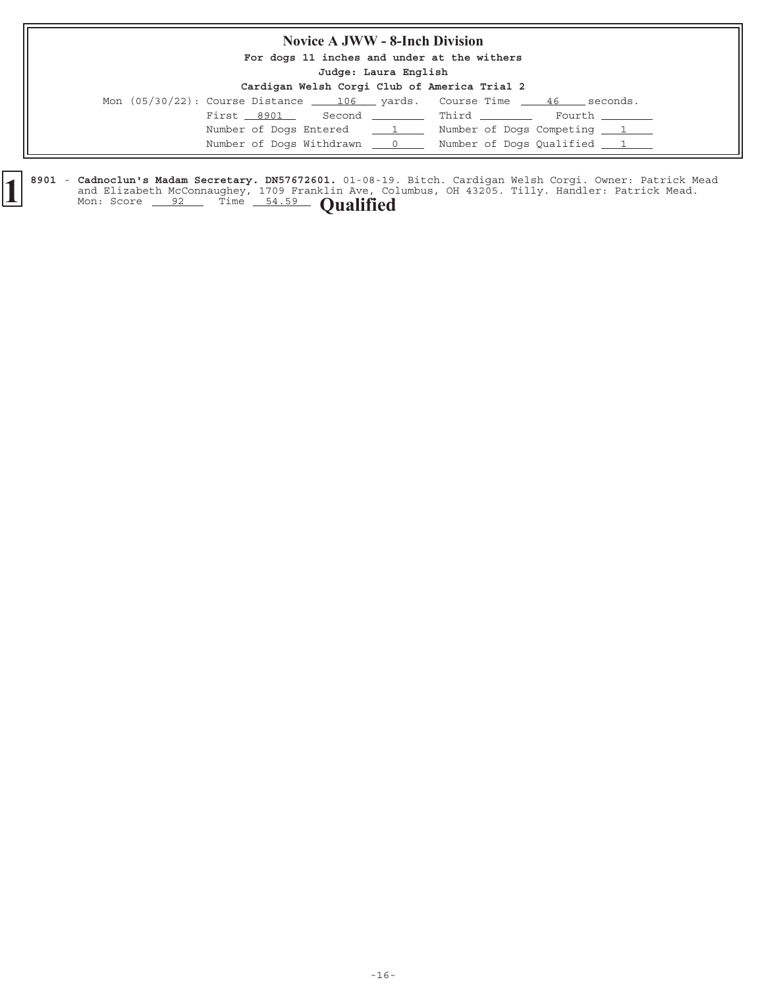## **Novice A JWW - 8-Inch Division**

**For dogs 11 inches and under at the withers**

**Judge: Laura English**

| Cardigan Welsh Corgi Club of America Trial 2 |  |  |  |  |  |  |  |
|----------------------------------------------|--|--|--|--|--|--|--|
|----------------------------------------------|--|--|--|--|--|--|--|

|            | Mon $(05/30/22)$ : Course Distance $\underline{\hspace{1cm}}$ 106 $\underline{\hspace{1cm}}$ yards. Course Time $\underline{\hspace{1cm}}$ 46 | seconds.                   |
|------------|-----------------------------------------------------------------------------------------------------------------------------------------------|----------------------------|
| First 8901 | Second Third                                                                                                                                  | Fourth ________            |
|            | Number of Dogs Entered 1                                                                                                                      | Number of Dogs Competing 1 |
|            | Number of Dogs Withdrawn 0                                                                                                                    | Number of Dogs Qualified 1 |

8901 - Cadnoclun's Madam Secretary. DN57672601. 01-08-19. Bitch. Cardigan Welsh Corgi. Owner: Patrick Mead and Elizabeth McConnaughey, 1709 Franklin Ave, Columbus, OH 43205. Tilly. Handler: Patrick Mead. **Cadnoclun's Madam Secretary. DN57672601.** 01-08-19 and Elizabeth McConnaughey, 1709 Franklin Ave, Co. Mon: Score <u>92</u> Time 54.59 **Qualified**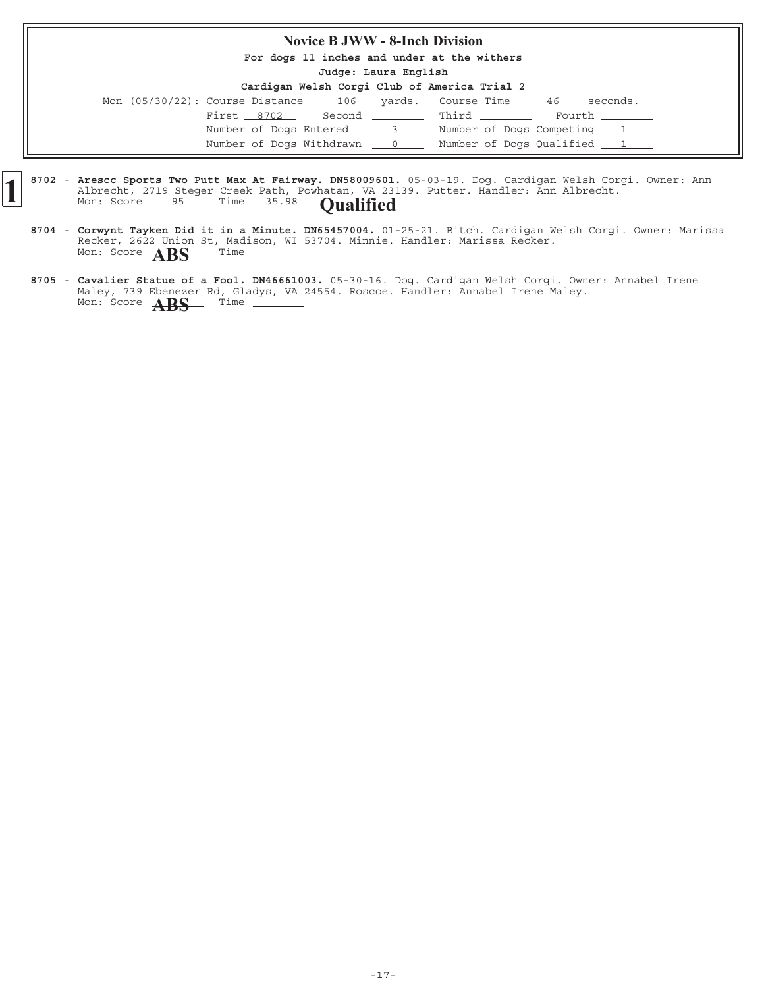## **Novice B JWW - 8-Inch Division**

**For dogs 11 inches and under at the withers**

**Judge: Laura English**

|                            | Mon $(05/30/22)$ : Course Distance $\underline{\qquad 106}$ yards. Course Time $\underline{\qquad 46}$ seconds. |                            |
|----------------------------|-----------------------------------------------------------------------------------------------------------------|----------------------------|
| First 8702                 | Second Third Fourth                                                                                             |                            |
| Number of Dogs Entered 3   |                                                                                                                 | Number of Dogs Competing 1 |
| Number of Dogs Withdrawn 0 |                                                                                                                 | Number of Dogs Qualified 1 |

- 8702 Arescc Sports Two Putt Max At Fairway. DN58009601. 05-03-19. Dog. Cardigan Welsh Corgi. Owner: Ann Albrecht, 2719 Steger Creek Path, Powhatan, VA 23139. Putter. Handler: Ann Albrecht. **Arescc Sports Two Putt Max At Fairway. DN58009601.** Albrecht, 2719 Steger Creek Path, Powhatan, VA 231 Mon: Score 95 Time 35.98 **Qualified** 
	- 8704 Corwynt Tayken Did it in a Minute. DN65457004. 01-25-21. Bitch. Cardigan Welsh Corgi. Owner: Marissa Recker, 2622 Union St, Madison, WI 53704. Minnie. Handler: Marissa Recker. **Corwynt Tayken Did it in a Minute. DN65457004.** Mon: Score **ABS** Time
	- 8705 Cavalier Statue of a Fool. DN46661003. 05-30-16. Dog. Cardigan Welsh Corgi. Owner: Annabel Irene Maley, 739 Ebenezer Rd, Gladys, VA 24554. Roscoe. Handler: Annabel Irene Maley. Mon: Score **ABS** Time \_\_\_\_\_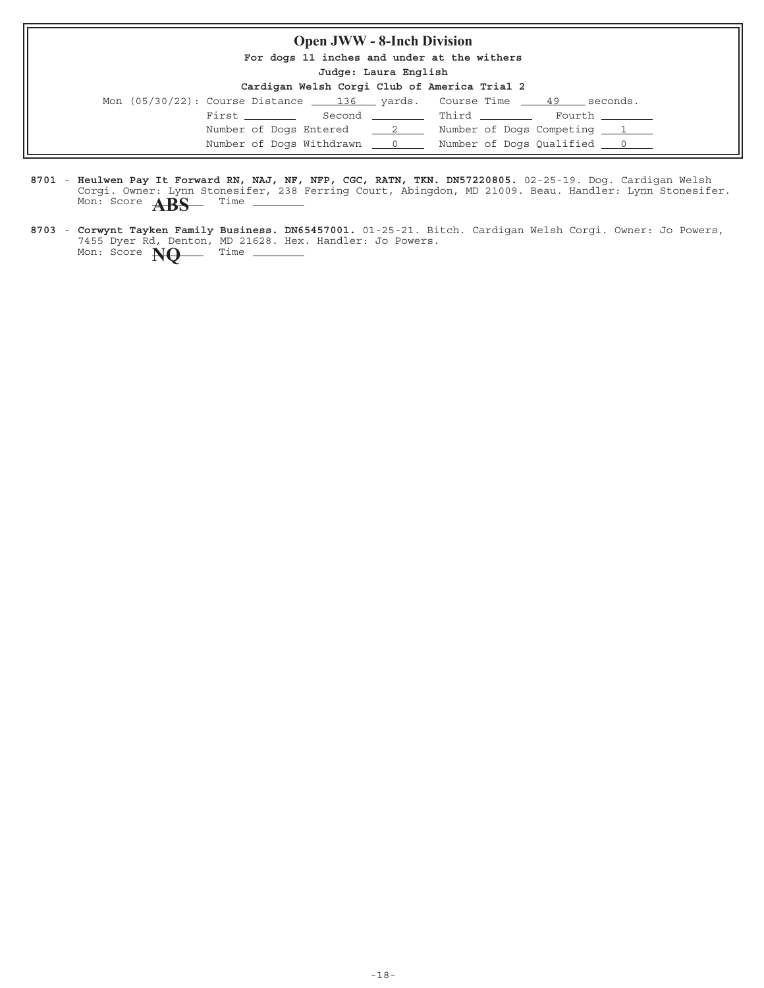## **Open JWW - 8-Inch Division**

**For dogs 11 inches and under at the withers**

**Judge: Laura English**

| Mon $(05/30/22)$ : Course Distance $\underline{\qquad}$ 136 yards. Course Time $\underline{\qquad}$ 49 seconds. |                 |                            |                                 |  |                                   |
|-----------------------------------------------------------------------------------------------------------------|-----------------|----------------------------|---------------------------------|--|-----------------------------------|
|                                                                                                                 | First _________ |                            | Second _________ Third ________ |  | Fourth ________                   |
|                                                                                                                 |                 | Number of Dogs Entered 2   |                                 |  | Number of Dogs Competing 1        |
|                                                                                                                 |                 | Number of Dogs Withdrawn 0 |                                 |  | Number of Dogs Qualified <u>0</u> |

- 8701 Heulwen Pay It Forward RN, NAJ, NF, NFP, CGC, RATN, TKN. DN57220805. 02-25-19. Dog. Cardigan Welsh Corgi. Owner: Lynn Stonesifer, 238 Ferring Court, Abingdon, MD 21009. Beau. Handler: Lynn Stonesifer. **Heulwen Pay It Forward RN, NAJ, NF, NFP, CGC, RATN, TKN. DN57220805.** Mon: Score **ABS** Time
- 8703 Corwynt Tayken Family Business. DN65457001. 01-25-21. Bitch. Cardigan Welsh Corgi. Owner: Jo Powers, 7455 Dyer Rd, Denton, MD 21628. Hex. Handler: Jo Powers. **Corwynt Tayken Family Business. DN65457001.** Mon: Score **NQ** Time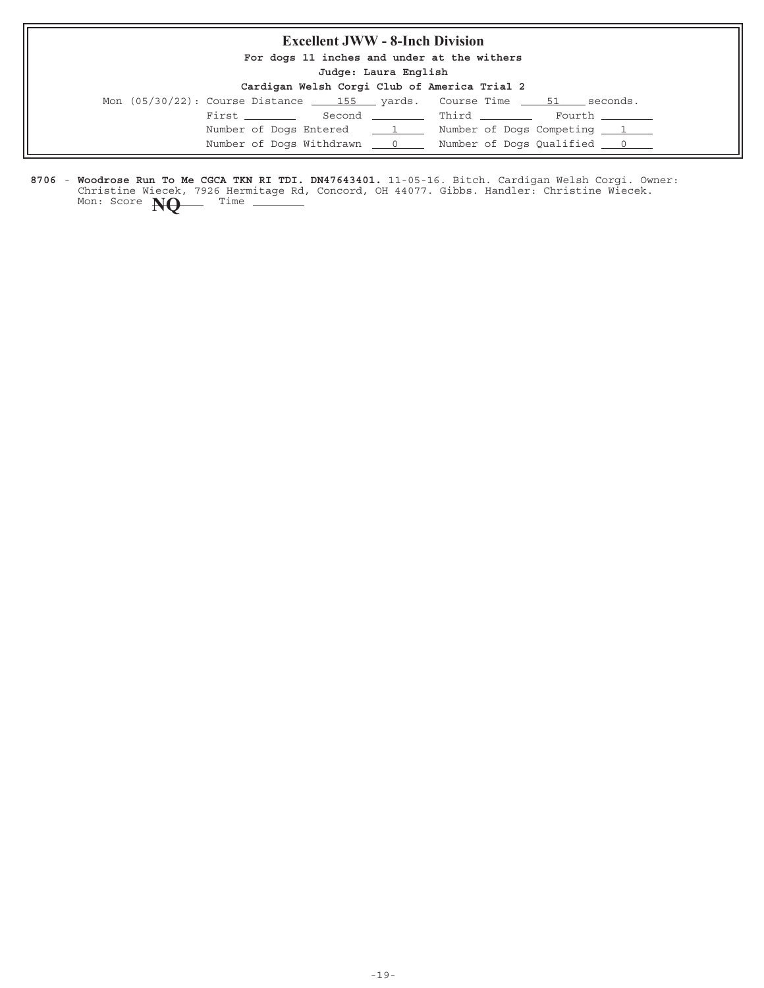## **Excellent JWW - 8-Inch Division**

**For dogs 11 inches and under at the withers**

**Judge: Laura English**

| Cardigan Welsh Corgi Club of America Trial 2 |  |  |  |  |  |  |  |
|----------------------------------------------|--|--|--|--|--|--|--|
|----------------------------------------------|--|--|--|--|--|--|--|

| <u> varargan nvesni vvege vedas ve imberva serane e</u>                                          |   |                                                     |
|--------------------------------------------------------------------------------------------------|---|-----------------------------------------------------|
| Mon $(05/30/22)$ : Course Distance $\qquad$ 155 $\qquad$ yards. Course Time $\qquad$ 51 $\qquad$ |   | seconds.                                            |
| First ________                                                                                   |   | Second __________ Third ________<br>Fourth ________ |
| Number of Dogs Entered                                                                           | 1 | Number of Dogs Competing 1                          |
| Number of Dogs Withdrawn 0                                                                       |   | Number of Dogs Qualified 0                          |

8706 - Woodrose Run To Me CGCA TKN RI TDI. DN47643401. 11-05-16. Bitch. Cardigan Welsh Corgi. Owner: Christine Wiecek, 7926 Hermitage Rd, Concord, OH 44077. Gibbs. Handler: Christine Wiecek. **Woodrose Run To Me CGCA TKN RI TDI. DN47643401.** Mon: Score **NQ** Time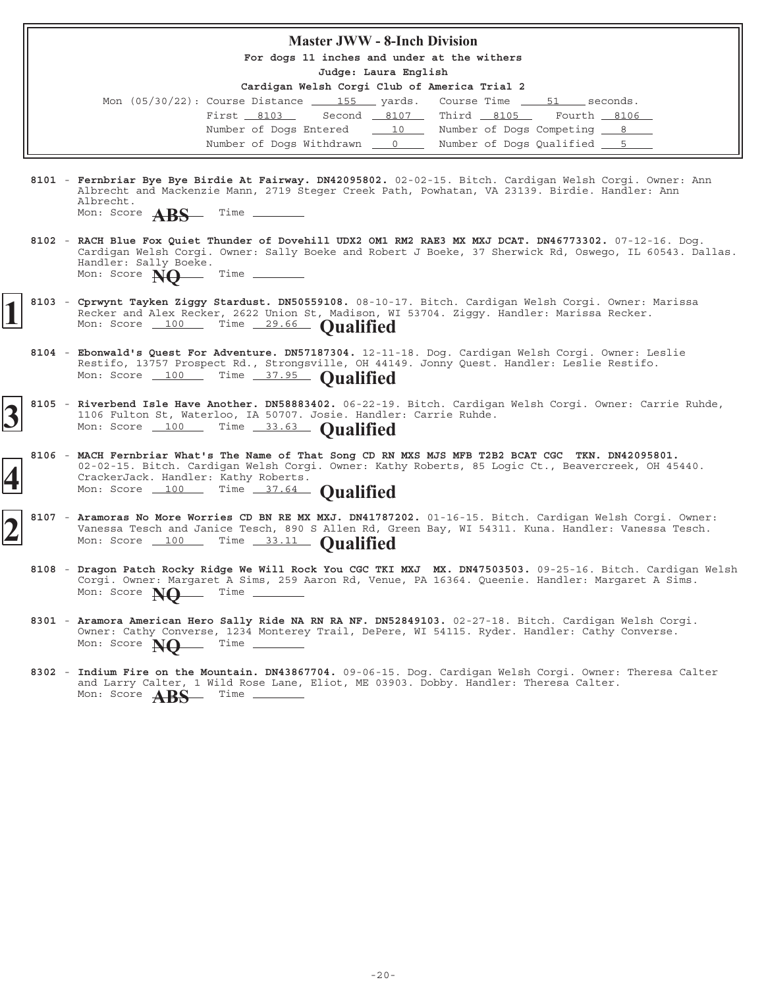|  | <b>Master JWW - 8-Inch Division</b>                                                                                                                                                                                                                                                                         |
|--|-------------------------------------------------------------------------------------------------------------------------------------------------------------------------------------------------------------------------------------------------------------------------------------------------------------|
|  | For dogs 11 inches and under at the withers                                                                                                                                                                                                                                                                 |
|  | Judge: Laura English                                                                                                                                                                                                                                                                                        |
|  | Cardigan Welsh Corgi Club of America Trial 2<br>Course Time 51 seconds.<br>Mon $(05/30/22)$ : Course Distance $\_\_\_\_155$ yards.<br>Second 8107 Third 8105 Fourth 8106<br>First 8103<br>Number of Dogs Entered 10 Number of Dogs Competing 8<br>Number of Dogs Withdrawn 0 0 Number of Dogs Qualified 5 5 |
|  |                                                                                                                                                                                                                                                                                                             |
|  | 8101 - Fernbriar Bye Bye Birdie At Fairway. DN42095802. 02-02-15. Bitch. Cardigan Welsh Corgi. Owner: Ann<br>Albrecht and Mackenzie Mann, 2719 Steger Creek Path, Powhatan, VA 23139. Birdie. Handler: Ann<br>Albrecht.<br>Mon: Score <b>ARS</b> Time _____                                                 |
|  | 8102 - RACH Blue Fox Quiet Thunder of Dovehill UDX2 OM1 RM2 RAE3 MX MXJ DCAT. DN46773302. 07-12-16. Dog.<br>Cardigan Welsh Corgi. Owner: Sally Boeke and Robert J Boeke, 37 Sherwick Rd, Oswego, IL 60543. Dallas.<br>Handler: Sally Boeke.<br>Mon: Score $\bf{NQ}$ Time                                    |
|  | 8103 - Cprwynt Tayken Ziggy Stardust. DN50559108. 08-10-17. Bitch. Cardigan Welsh Corgi. Owner: Marissa<br>Recker and Alex Recker, 2622 Union St, Madison, WI 53704. Ziggy. Handler: Marissa Recker.<br>Mon: Score 100 Time 29.66 Qualified                                                                 |
|  | 8104 - Ebonwald's Quest For Adventure. DN57187304. 12-11-18. Dog. Cardigan Welsh Corgi. Owner: Leslie<br>Restifo, 13757 Prospect Rd., Strongsville, OH 44149. Jonny Quest. Handler: Leslie Restifo.<br>Mon: Score 100 Time 37.95 Qualified                                                                  |
|  | 8105 - Riverbend Isle Have Another. DN58883402. 06-22-19. Bitch. Cardigan Welsh Corgi. Owner: Carrie Ruhde,<br>1106 Fulton St, Waterloo, IA 50707. Josie. Handler: Carrie Ruhde.<br>Mon: Score 100 Time 33.63 Qualified                                                                                     |
|  | 8106 - MACH Fernbriar What's The Name of That Song CD RN MXS MJS MFB T2B2 BCAT CGC TKN. DN42095801.<br>02-02-15. Bitch. Cardigan Welsh Corgi. Owner: Kathy Roberts, 85 Logic Ct., Beavercreek, OH 45440.<br>CrackerJack. Handler: Kathy Roberts.<br>Mon: Score 100 Time 37.64 Qualified                     |
|  | 8107 - Aramoras No More Worries CD BN RE MX MXJ. DN41787202. 01-16-15. Bitch. Cardigan Welsh Corgi. Owner:<br>Vanessa Tesch and Janice Tesch, 890 S Allen Rd, Green Bay, WI 54311. Kuna. Handler: Vanessa Tesch.<br>Mon: Score 100 Time 33.11 Qualified                                                     |
|  | 8108 - Dragon Patch Rocky Ridge We Will Rock You CGC TKI MXJ MX. DN47503503. 09-25-16. Bitch. Cardigan Welsh<br>Corgi. Owner: Margaret A Sims, 259 Aaron Rd, Venue, PA 16364. Queenie. Handler: Margaret A Sims.<br>Mon: Score NQ<br>$\frac{1}{2}$                                                          |
|  | 8301 - Aramora American Hero Sally Ride NA RN RA NF. DN52849103. 02-27-18. Bitch. Cardigan Welsh Corgi.<br>Owner: Cathy Converse, 1234 Monterey Trail, DePere, WI 54115. Ryder. Handler: Cathy Converse.<br>__ Time _______<br>Mon: Score NO                                                                |
|  | 8302 - Indium Fire on the Mountain. DN43867704. 09-06-15. Dog. Cardigan Welsh Corgi. Owner: Theresa Calter<br>and Larry Calter, 1 Wild Rose Lane, Eliot, ME 03903. Dobby. Handler: Theresa Calter.<br>Mon: Score $\overrightarrow{ARS}$ Time                                                                |
|  |                                                                                                                                                                                                                                                                                                             |

Б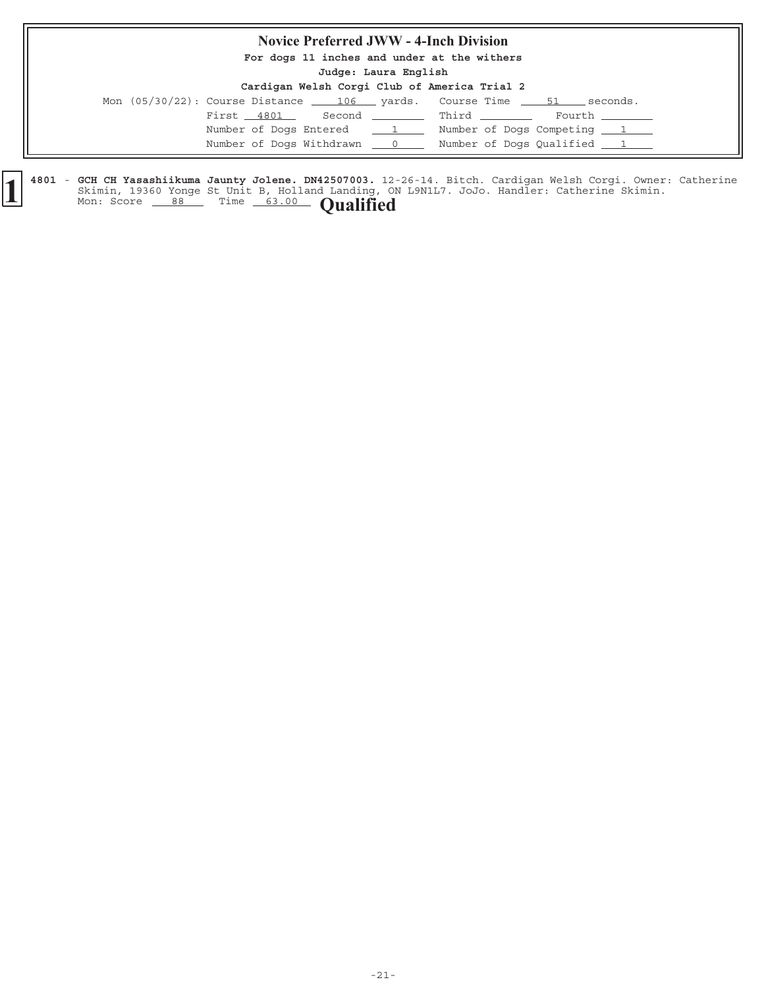# **Novice Preferred JWW - 4-Inch Division**

**For dogs 11 inches and under at the withers**

**Judge: Laura English**

| Cardigan Welsh Corgi Club of America Trial 2 |  |  |  |  |  |  |  |
|----------------------------------------------|--|--|--|--|--|--|--|
|----------------------------------------------|--|--|--|--|--|--|--|

|  |            |                            | Mon (05/30/22): Course Distance 106 __ yards. Course Time ____ 51 ___ seconds. |        |
|--|------------|----------------------------|--------------------------------------------------------------------------------|--------|
|  | First 4801 |                            | Second __________ Third ________                                               | Fourth |
|  |            | Number of Dogs Entered 1   | Number of Dogs Competing 1                                                     |        |
|  |            | Number of Dogs Withdrawn 0 | Number of Dogs Qualified 1                                                     |        |

4801 - GCH CH Yasashiikuma Jaunty Jolene. DN42507003. 12-26-14. Bitch. Cardigan Welsh Corgi. Owner: Catherine Skimin, 19360 Yonge St Unit B, Holland Landing, ON L9N1L7. JoJo. Handler: Catherine Skimin. **f**  $\left\{\n \begin{array}{ccc}\n 4801 & - & \text{GCH CH Yasashlikuma January Jolene. DNA2507003.} & 12 \\
 881.1 & 19360 Yonge St Unit B, Holland Landing, 01 \\
 4801.2 & 8360 Yonge St Unit B, Holland Landing, 01\n \end{array}\n \right\}$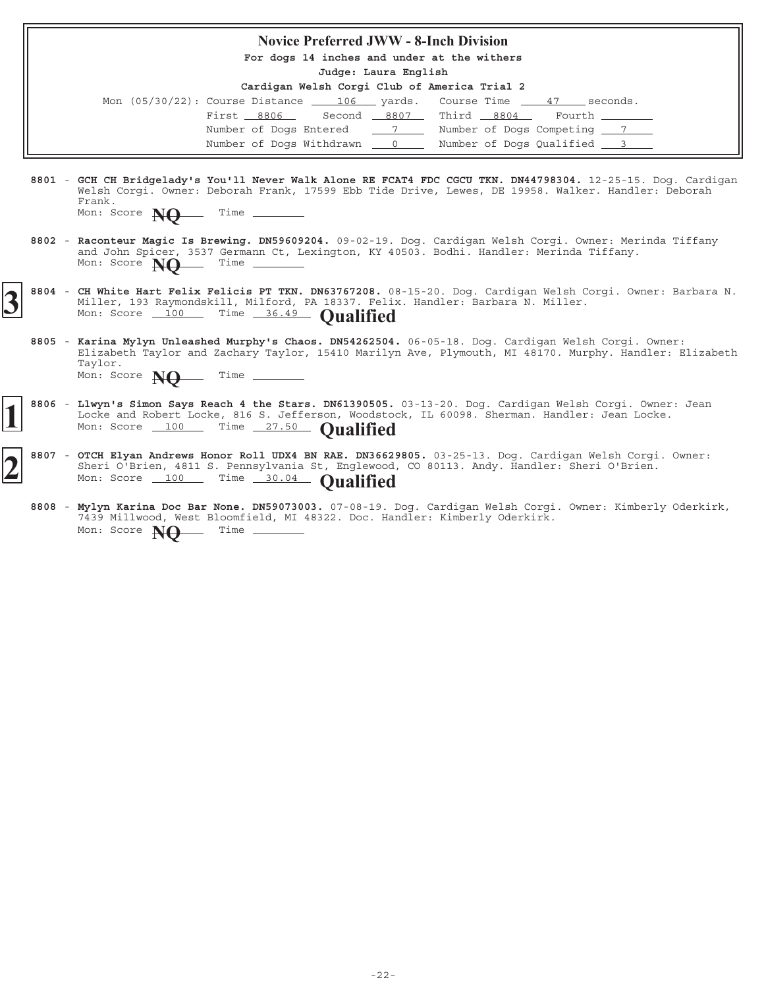|  | <b>Novice Preferred JWW - 8-Inch Division</b>                                                                                                                                                                                                                   |
|--|-----------------------------------------------------------------------------------------------------------------------------------------------------------------------------------------------------------------------------------------------------------------|
|  | For dogs 14 inches and under at the withers                                                                                                                                                                                                                     |
|  | Judge: Laura English                                                                                                                                                                                                                                            |
|  | Cardigan Welsh Corgi Club of America Trial 2                                                                                                                                                                                                                    |
|  | Mon $(05/30/22)$ : Course Distance $\underline{\qquad 106}$ yards. Course Time $\underline{\qquad 47}$ seconds.                                                                                                                                                 |
|  | Second 8807 Third 8804 Fourth<br>First 8806                                                                                                                                                                                                                     |
|  | Number of Dogs Entered 7 7 Number of Dogs Competing 7 7                                                                                                                                                                                                         |
|  | Number of Dogs Withdrawn 0 0 Number of Dogs Qualified 3                                                                                                                                                                                                         |
|  |                                                                                                                                                                                                                                                                 |
|  | 8801 - GCH CH Bridgelady's You'll Never Walk Alone RE FCAT4 FDC CGCU TKN. DN44798304. 12-25-15. Dog. Cardigan<br>Welsh Corqi. Owner: Deborah Frank, 17599 Ebb Tide Drive, Lewes, DE 19958. Walker. Handler: Deborah<br>Frank.                                   |
|  | Mon: Score $\mathbb{N}0$ Time                                                                                                                                                                                                                                   |
|  | 8802 - Raconteur Magic Is Brewing. DN59609204. 09-02-19. Dog. Cardigan Welsh Corgi. Owner: Merinda Tiffany<br>and John Spicer, 3537 Germann Ct, Lexington, KY 40503. Bodhi. Handler: Merinda Tiffany.<br>Mon: Score $N\Omega$ Time                              |
|  | 8804 - CH White Hart Felix Felicis PT TKN. DN63767208. 08-15-20. Dog. Cardigan Welsh Corgi. Owner: Barbara N.<br>Miller, 193 Raymondskill, Milford, PA 18337. Felix. Handler: Barbara N. Miller.<br>Mon: Score 100 Time 36.49 Oualified                         |
|  | 8805 - Karina Mylyn Unleashed Murphy's Chaos. DN54262504. 06-05-18. Dog. Cardigan Welsh Corgi. Owner:<br>Elizabeth Taylor and Zachary Taylor, 15410 Marilyn Ave, Plymouth, MI 48170. Murphy. Handler: Elizabeth<br>Taylor.<br>Mon: Score $\bf{NO}$ Time _______ |
|  | 8806 - Llwyn's Simon Says Reach 4 the Stars. DN61390505. 03-13-20. Dog. Cardigan Welsh Corgi. Owner: Jean<br>Locke and Robert Locke, 816 S. Jefferson, Woodstock, IL 60098. Sherman. Handler: Jean Locke.<br>Mon: Score 100 Time 27.50 Qualified                |
|  | 8807 - OTCH Elyan Andrews Honor Roll UDX4 BN RAE. DN36629805. 03-25-13. Dog. Cardigan Welsh Corgi. Owner:<br>Sheri O'Brien, 4811 S. Pennsylvania St, Englewood, CO 80113. Andy. Handler: Sheri O'Brien.<br>Mon: Score 100 Time 30.04 Oualified                  |
|  | 8808 - Mylyn Karina Doc Bar None. DN59073003. 07-08-19. Dog. Cardigan Welsh Corgi. Owner: Kimberly Oderkirk,                                                                                                                                                    |

7439 Millwood, West Bloomfield, MI 48322. Doc. Handler: Kimberly Oderkirk.

Mon: Score **NQ** Time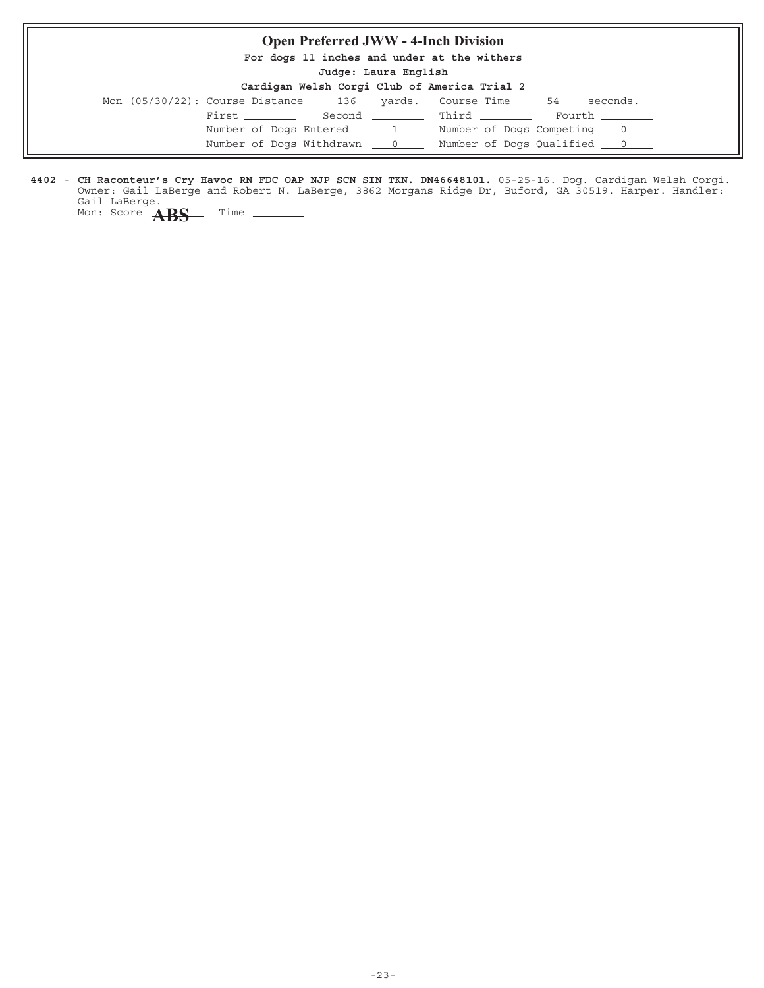# **Open Preferred JWW - 4-Inch Division**

**For dogs 11 inches and under at the withers**

**Judge: Laura English**

| Cardigan Welsh Corgi Club of America Trial 2 |  |  |  |  |  |  |
|----------------------------------------------|--|--|--|--|--|--|
|----------------------------------------------|--|--|--|--|--|--|

| Mon $(05/30/22)$ : Course Distance $\qquad 136$ yards. Course Time $\qquad 54$ |  |                                 | seconds.       |
|--------------------------------------------------------------------------------|--|---------------------------------|----------------|
| First ________                                                                 |  | Second _________ Third ________ | Fourth _______ |
| Number of Dogs Entered 1                                                       |  | Number of Dogs Competing 0      |                |
| Number of Dogs Withdrawn 0                                                     |  |                                 |                |

4402 - CH Raconteur's Cry Havoc RN FDC OAP NJP SCN SIN TKN. DN46648101. 05-25-16. Dog. Cardigan Welsh Corgi. Owner: Gail LaBerge and Robert N. LaBerge, 3862 Morgans Ridge Dr, Buford, GA 30519. Harper. Handler: Gail LaBerge. **CH Raconteur's Cry Havoc RN FDC OAP NJP SCN SIN TKN. DN46648101.**

 $\overline{\phantom{0}}$ 

Mon: Score **ABS** Time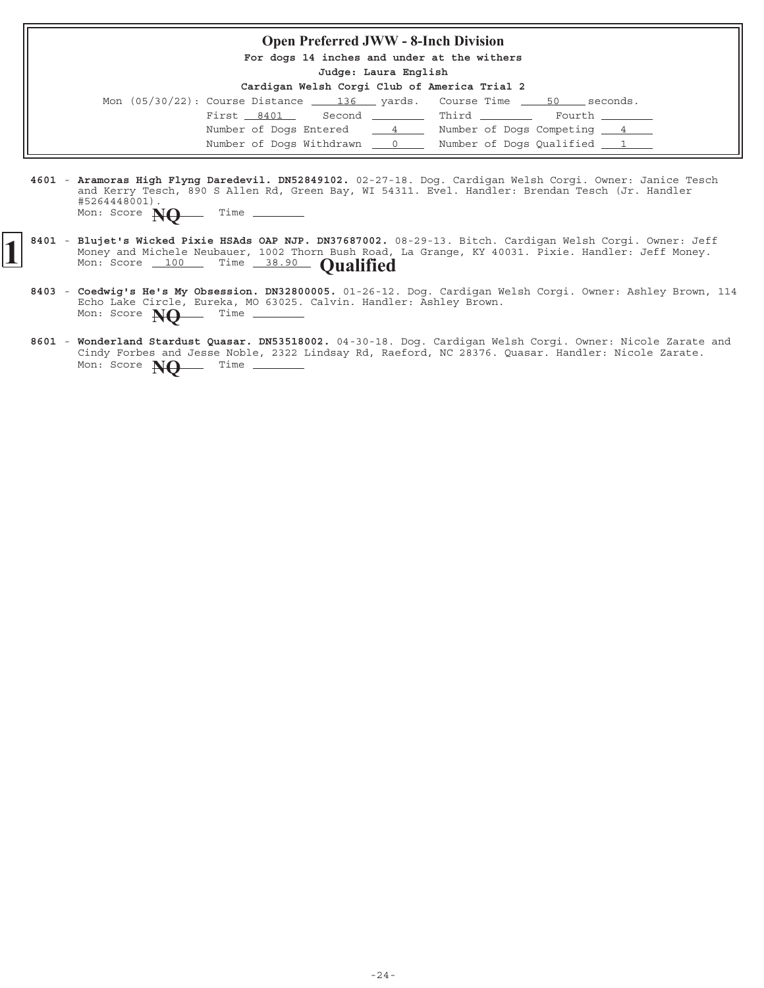#### **Open Preferred JWW - 8-Inch Division**

**For dogs 14 inches and under at the withers**

**Judge: Laura English**

| Cardigan Welsh Corgi Club of America Trial 2 |  |  |  |  |  |  |  |
|----------------------------------------------|--|--|--|--|--|--|--|
|----------------------------------------------|--|--|--|--|--|--|--|

| Mon $(05/30/22)$ : Course Distance $\underline{\qquad 136}$ yards. Course Time $\underline{\qquad 50}$ seconds. |                                 |                            |
|-----------------------------------------------------------------------------------------------------------------|---------------------------------|----------------------------|
| First 8401                                                                                                      | Second _________ Third ________ | Fourth _______             |
| Number of Dogs Entered 4                                                                                        |                                 | Number of Dogs Competing 4 |
| Number of Dogs Withdrawn 0                                                                                      |                                 | Number of Dogs Qualified 1 |

- 4601 Aramoras High Flyng Daredevil. DN52849102. 02-27-18. Dog. Cardigan Welsh Corgi. Owner: Janice Tesch and Kerry Tesch, 890 S Allen Rd, Green Bay, WI 54311. Evel. Handler: Brendan Tesch (Jr. Handler #5264448001). Mon: Score **NO** Time -
- 8401 Blujet's Wicked Pixie HSAds OAP NJP. DN37687002. 08-29-13. Bitch. Cardigan Welsh Corgi. Owner: Jeff Money and Michele Neubauer, 1002 Thorn Bush Road, La Grange, KY 40031. Pixie. Handler: Jeff Money. **Blujet's Wicked Pixie HSAds OAP NJP. DN37687002.** (Money and Michele Neubauer, 1002 Thorn Bush Road, Mon: Score 100 Time 38.90 **Qualified** 
	- 8403 Coedwig's He's My Obsession. DN32800005. 01-26-12. Dog. Cardigan Welsh Corgi. Owner: Ashley Brown, 114 Echo Lake Circle, Eureka, MO 63025. Calvin. Handler: Ashley Brown. **Coedwig's He's My Obsession. DN32800005.** Mon: Score **NO** Time -
	- 8601 Wonderland Stardust Quasar. DN53518002. 04-30-18. Dog. Cardigan Welsh Corgi. Owner: Nicole Zarate and Cindy Forbes and Jesse Noble, 2322 Lindsay Rd, Raeford, NC 28376. Quasar. Handler: Nicole Zarate. Mon: Score **NO** Time \_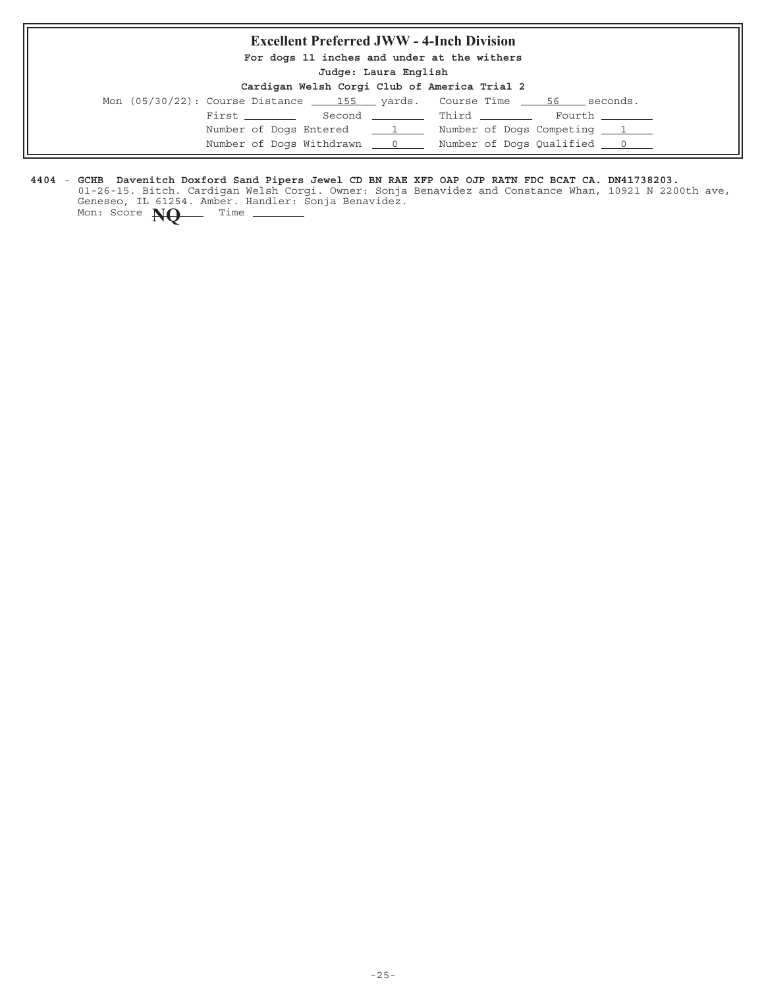# **Excellent Preferred JWW - 4-Inch Division**

**For dogs 11 inches and under at the withers**

**Judge: Laura English**

#### **Cardigan Welsh Corgi Club of America Trial 2**

|  |  |               |                            | Mon $(05/30/22)$ : Course Distance $\_\_\_\$ 155 yards. Course Time | 56 | seconds.       |
|--|--|---------------|----------------------------|---------------------------------------------------------------------|----|----------------|
|  |  | First _______ |                            | Second Third                                                        |    | Fourth _______ |
|  |  |               | Number of Dogs Entered 1   | Number of Dogs Competing 1                                          |    |                |
|  |  |               | Number of Dogs Withdrawn 0 | Number of Dogs Qualified 0                                          |    |                |

#### **4404** - **GCHB Davenitch Doxford Sand Pipers Jewel CD BN RAE XFP OAP OJP RATN FDC BCAT CA. DN41738203.**

01-26-15. Bitch. Cardigan Welsh Corgi. Owner: Sonja Benavidez and Constance Whan, 10921 N 2200th ave, Geneseo, IL 61254. Amber. Handler: Sonja Benavidez. Mon: Score **NQ** Time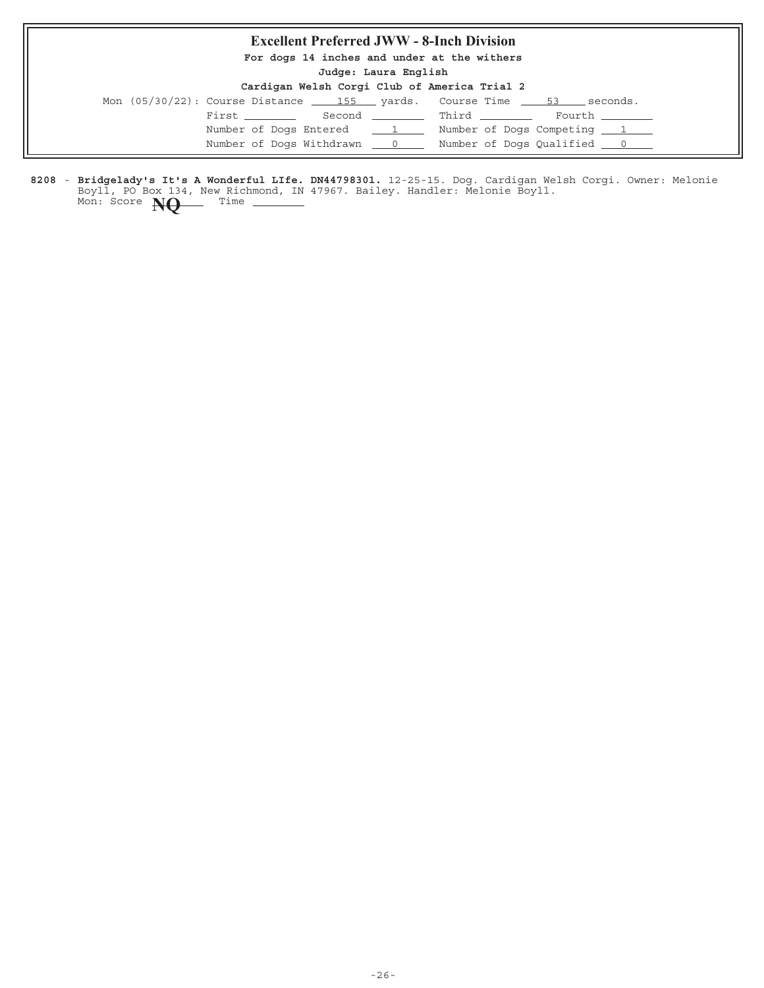# **Excellent Preferred JWW - 8-Inch Division**

**For dogs 14 inches and under at the withers**

**Judge: Laura English**

| Cardigan Welsh Corgi Club of America Trial 2 |  |  |  |  |  |  |  |
|----------------------------------------------|--|--|--|--|--|--|--|
|----------------------------------------------|--|--|--|--|--|--|--|

|  | Second Third Fourth                                                                                                                           |
|--|-----------------------------------------------------------------------------------------------------------------------------------------------|
|  | Number of Dogs Competing 1                                                                                                                    |
|  | Number of Dogs Qualified <u>0</u>                                                                                                             |
|  | Mon (05/30/22): Course Distance 155 yards. Course Time 53 seconds.<br>First _______<br>Number of Dogs Entered 1<br>Number of Dogs Withdrawn 0 |

8208 - Bridgelady's It's A Wonderful LIfe. DN44798301. 12-25-15. Dog. Cardigan Welsh Corgi. Owner: Melonie Boyll, PO Box 134, New Richmond, IN 47967. Bailey. Handler: Melonie Boyll. **Bridgelady's It's A Wonderful LIfe. DN44798301.** Mon: Score **NQ** Time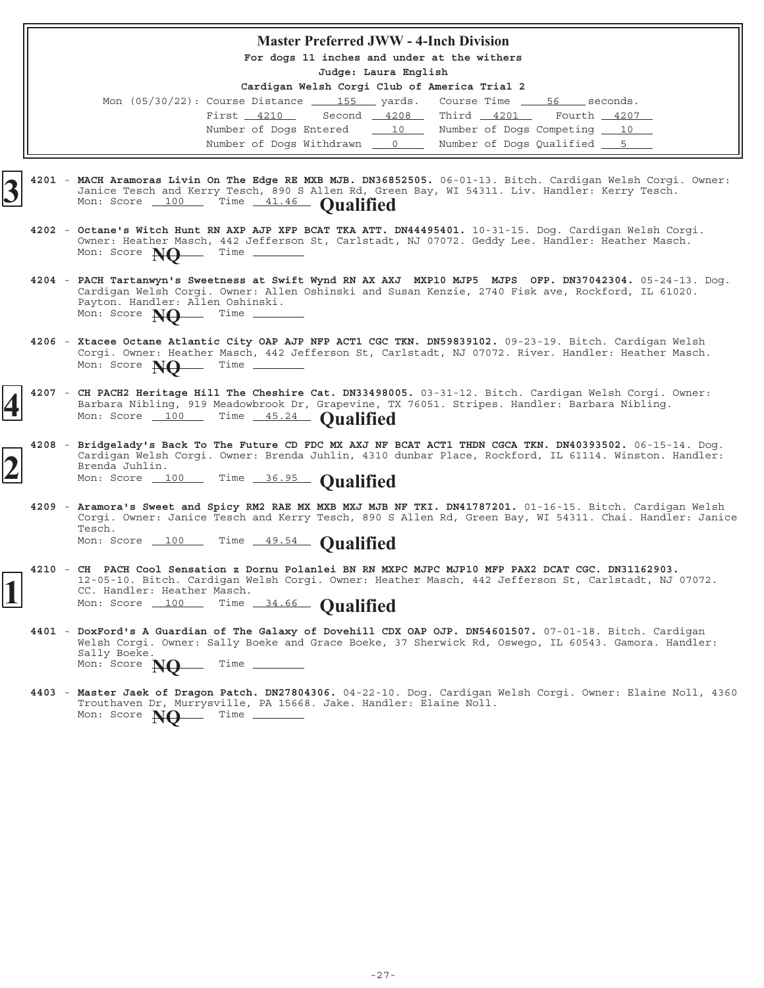#### **Master Preferred JWW - 4-Inch Division**

**For dogs 11 inches and under at the withers**

**Judge: Laura English**

| Mon $(05/30/22)$ : Course Distance                    |  | 155 yards. Course Time 56 seconds. |  |
|-------------------------------------------------------|--|------------------------------------|--|
| First 4210 Second 4208 Third 4201 Fourth 4207         |  |                                    |  |
| Number of Dogs Entered 10 Number of Dogs Competing 10 |  |                                    |  |
| Number of Dogs Withdrawn 0                            |  | Number of Dogs Qualified 5         |  |

- 4201 MACH Aramoras Livin On The Edge RE MXB MJB. DN36852505. 06-01-13. Bitch. Cardigan Welsh Corgi. Owner: Janice Tesch and Kerry Tesch, 890 S Allen Rd, Green Bay, WI 54311. Liv. Handler: Kerry Tesch. **MACH Aramoras Livin On The Edge RE MXB MJB. DN3685**<br>Janice Tesch and Kerry Tesch, 890 S Allen Rd, Gree<br>Mon: Score 100 Time 41.46 **Qualified** 
	- 4202 Octane's Witch Hunt RN AXP AJP XFP BCAT TKA ATT. DN44495401. 10-31-15. Dog. Cardigan Welsh Corgi. Owner: Heather Masch, 442 Jefferson St, Carlstadt, NJ 07072. Geddy Lee. Handler: Heather Masch. **Octane's Witch Hunt RN AXP AJP XFP BCAT TKA ATT. DN44495401.** Mon: Score **NQ** Time
	- **4204** 05-24-13. Dog. **PACH Tartanwyn's Sweetness at Swift Wynd RN AX AXJ MXP10 MJP5 MJPS OFP. DN37042304.** Cardigan Welsh Corgi. Owner: Allen Oshinski and Susan Kenzie, 2740 Fisk ave, Rockford, IL 61020. Payton. Handler: Allen Oshinski. Mon: Score **NQ** Time
	- 4206 Xtacee Octane Atlantic City OAP AJP NFP ACT1 CGC TKN. DN59839102. 09-23-19. Bitch. Cardigan Welsh Corgi. Owner: Heather Masch, 442 Jefferson St, Carlstadt, NJ 07072. River. Handler: Heather Masch. Mon: Score **NO** Time -
	- 4207 CH PACH2 Heritage Hill The Cheshire Cat. DN33498005. 03-31-12. Bitch. Cardigan Welsh Corgi. Owner: Barbara Nibling, 919 Meadowbrook Dr, Grapevine, TX 76051. Stripes. Handler: Barbara Nibling. Mon: Score 100 Time 45.24 **Qualified**
	- **4208** 06-15-14. Dog. **Bridgelady's Back To The Future CD FDC MX AXJ NF BCAT ACT1 THDN CGCA TKN. DN40393502.** Cardigan Welsh Corgi. Owner: Brenda Juhlin, 4310 dunbar Place, Rockford, IL 61114. Winston. Handler: Brenda Juhlin. **2** Mon: Score 100 Time 36.95 **Qualified**
		- 4209 Aramora's Sweet and Spicy RM2 RAE MX MXB MXJ MJB NF TKI. DN41787201. 01-16-15. Bitch. Cardigan Welsh Corgi. Owner: Janice Tesch and Kerry Tesch, 890 S Allen Rd, Green Bay, WI 54311. Chai. Handler: Janice Tesch. Mon: Score 100 Time 49.54 **Qualified**
- **4210 CH PACH Cool Sensation z Dornu Polanlei BN RN MXPC MJPC MJP10 MFP PAX2 DCAT CGC. DN31162903.** 12-05-10. Bitch. Cardigan Welsh Corgi. Owner: Heather Masch, 442 Jefferson St, Carlstadt, NJ 07072. CC. Handler: Heather Masch. 12-05-10. Bitch. Cardigan Welsh Corgi. Owner: Heat<br>CC. Handler: Heather Masch.<br>Mon: Score 100 Time 34.66 **Qualified** 
	- 4401 DoxFord's A Guardian of The Galaxy of Dovehill CDX OAP OJP. DN54601507. 07-01-18. Bitch. Cardigan Welsh Corgi. Owner: Sally Boeke and Grace Boeke, 37 Sherwick Rd, Oswego, IL 60543. Gamora. Handler: Sally Boeke. Mon: Score **NQ** Time \_\_\_\_
	- 4403 Master Jaek of Dragon Patch. DN27804306. 04-22-10. Dog. Cardigan Welsh Corgi. Owner: Elaine Noll, 4360 Trouthaven Dr, Murrysville, PA 15668. Jake. Handler: Elaine Noll. **Master Jaek of Dragon Patch. DN27804306.** Mon: Score **NO** Time -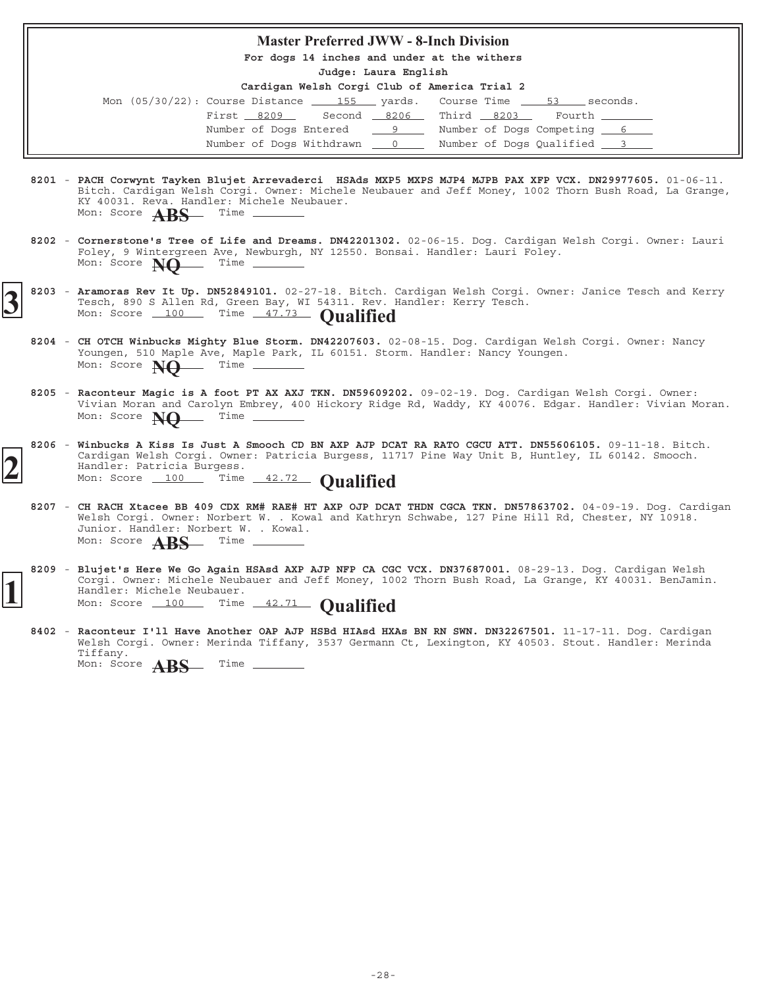#### **Master Preferred JWW - 8-Inch Division**

**For dogs 14 inches and under at the withers**

**Judge: Laura English**

| Mon $(05/30/22)$ : Course Distance $\underline{\qquad}$ 155 yards. Course Time $\underline{\qquad}$ 53 seconds. |                                   |  |                            |  |                 |
|-----------------------------------------------------------------------------------------------------------------|-----------------------------------|--|----------------------------|--|-----------------|
|                                                                                                                 | First 8209 Second 8206 Third 8203 |  |                            |  | Fourth ________ |
|                                                                                                                 | Number of Dogs Entered 9          |  | Number of Dogs Competing 6 |  |                 |
|                                                                                                                 | Number of Dogs Withdrawn 0        |  | Number of Dogs Qualified 3 |  |                 |

- 8201 PACH Corwynt Tayken Blujet Arrevaderci HSAds MXP5 MXPS MJP4 MJPB PAX XFP VCX. DN29977605. 01-06-11. Bitch. Cardigan Welsh Corgi. Owner: Michele Neubauer and Jeff Money, 1002 Thorn Bush Road, La Grange, KY 40031. Reva. Handler: Michele Neubauer.<br>Mon: Score  $\triangle PC$  Time \_\_\_\_\_\_\_\_\_ Mon: Score **ABS**
- 8202 Cornerstone's Tree of Life and Dreams. DN42201302. 02-06-15. Dog. Cardigan Welsh Corgi. Owner: Lauri Foley, 9 Wintergreen Ave, Newburgh, NY 12550. Bonsai. Handler: Lauri Foley. Mon: Score **NO** Time \_
- 8203 Aramoras Rev It Up. DN52849101. 02-27-18. Bitch. Cardigan Welsh Corgi. Owner: Janice Tesch and Kerry Tesch, 890 S Allen Rd, Green Bay, WI 54311. Rev. Handler: Kerry Tesch. **3** 8203 - Aramoras Rev It Up. DN52849101. 02-27-18. Bitch. Tesch, 890 S Allen Rd, Green Bay, WI 54311. Rev. 1 Mon: Score 100 Time 47.73 **Qualified** 
	- 8204 CH OTCH Winbucks Mighty Blue Storm. DN42207603. 02-08-15. Dog. Cardigan Welsh Corgi. Owner: Nancy Youngen, 510 Maple Ave, Maple Park, IL 60151. Storm. Handler: Nancy Youngen. Mon: Score **NO** Time -
	- 8205 Raconteur Magic is A foot PT AX AXJ TKN. DN59609202. 09-02-19. Dog. Cardigan Welsh Corgi. Owner: Vivian Moran and Carolyn Embrey, 400 Hickory Ridge Rd, Waddy, KY 40076. Edgar. Handler: Vivian Moran. Mon: Score **NQ** Time
- 8206 Winbucks A Kiss Is Just A Smooch CD BN AXP AJP DCAT RA RATO CGCU ATT. DN55606105. 09-11-18. Bitch. Cardigan Welsh Corgi. Owner: Patricia Burgess, 11717 Pine Way Unit B, Huntley, IL 60142. Smooch. Handler: Patricia Burgess. **2** Mon: Score 100 Time 42.72 **Qualified**
	- **8207** 04-09-19. Dog. Cardigan **CH RACH Xtacee BB 409 CDX RM# RAE# HT AXP OJP DCAT THDN CGCA TKN. DN57863702.** Welsh Corgi. Owner: Norbert W. . Kowal and Kathryn Schwabe, 127 Pine Hill Rd, Chester, NY 10918. Junior. Handler: Norbert W. . Kowal. Mon: Score **ABS** Time -
- 8209 Blujet's Here We Go Again HSAsd AXP AJP NFP CA CGC VCX. DN37687001. 08-29-13. Dog. Cardigan Welsh Corgi. Owner: Michele Neubauer and Jeff Money, 1002 Thorn Bush Road, La Grange, KY 40031. BenJamin. Handler: Michele Neubauer. Corgi. Owner: Michele Neubauer and Jeff Money, 10<br>
Handler: Michele Neubauer.<br>
Mon: Score 100 Time 42.71 **Qualified** 
	- 8402 Raconteur I'll Have Another OAP AJP HSBd HIAsd HXAs BN RN SWN. DN32267501. 11-17-11. Dog. Cardigan Welsh Corgi. Owner: Merinda Tiffany, 3537 Germann Ct, Lexington, KY 40503. Stout. Handler: Merinda Tiffany. Mon: Score **ABS** Time \_\_\_\_\_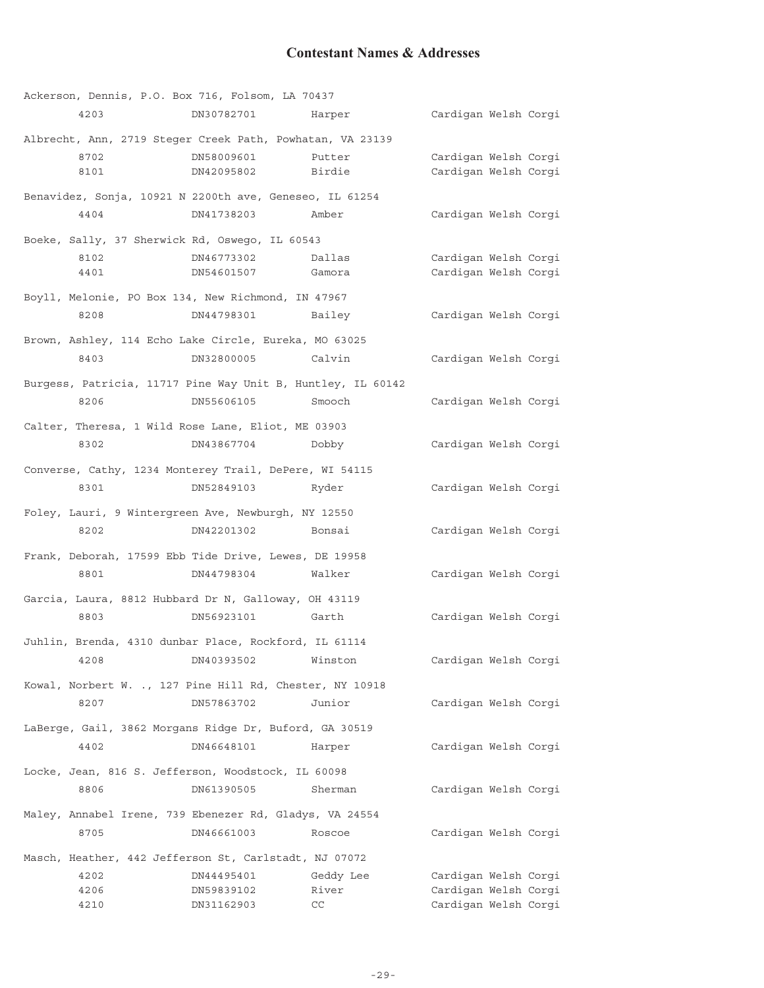# **Contestant Names & Addresses**

|      | Ackerson, Dennis, P.O. Box 716, Folsom, LA 70437            |           |                      |  |
|------|-------------------------------------------------------------|-----------|----------------------|--|
| 4203 | DN30782701                                                  | Harper    | Cardigan Welsh Corgi |  |
|      | Albrecht, Ann, 2719 Steger Creek Path, Powhatan, VA 23139   |           |                      |  |
| 8702 | DN58009601                                                  | Putter    | Cardigan Welsh Corgi |  |
| 8101 | DN42095802                                                  | Birdie    | Cardigan Welsh Corgi |  |
|      | Benavidez, Sonja, 10921 N 2200th ave, Geneseo, IL 61254     |           |                      |  |
| 4404 | DN41738203                                                  | Amber     | Cardigan Welsh Corgi |  |
|      | Boeke, Sally, 37 Sherwick Rd, Oswego, IL 60543              |           |                      |  |
| 8102 | DN46773302                                                  | Dallas    | Cardigan Welsh Corgi |  |
| 4401 | DN54601507                                                  | Gamora    | Cardigan Welsh Corgi |  |
|      | Boyll, Melonie, PO Box 134, New Richmond, IN 47967          |           |                      |  |
| 8208 | DN44798301                                                  | Bailey    | Cardigan Welsh Corgi |  |
|      | Brown, Ashley, 114 Echo Lake Circle, Eureka, MO 63025       |           |                      |  |
| 8403 | DN32800005                                                  | Calvin    | Cardigan Welsh Corgi |  |
|      | Burgess, Patricia, 11717 Pine Way Unit B, Huntley, IL 60142 |           |                      |  |
| 8206 | DN55606105                                                  | Smooch    | Cardigan Welsh Corgi |  |
|      | Calter, Theresa, 1 Wild Rose Lane, Eliot, ME 03903          |           |                      |  |
| 8302 | DN43867704                                                  | Dobby     | Cardigan Welsh Corgi |  |
|      | Converse, Cathy, 1234 Monterey Trail, DePere, WI 54115      |           |                      |  |
| 8301 | DN52849103                                                  | Ryder     | Cardigan Welsh Corgi |  |
|      | Foley, Lauri, 9 Wintergreen Ave, Newburgh, NY 12550         |           |                      |  |
| 8202 | DN42201302                                                  | Bonsai    | Cardigan Welsh Corgi |  |
|      | Frank, Deborah, 17599 Ebb Tide Drive, Lewes, DE 19958       |           |                      |  |
| 8801 | DN44798304                                                  | Walker    | Cardigan Welsh Corgi |  |
|      | Garcia, Laura, 8812 Hubbard Dr N, Galloway, OH 43119        |           |                      |  |
| 8803 | DN56923101                                                  | Garth     | Cardigan Welsh Corgi |  |
|      | Juhlin, Brenda, 4310 dunbar Place, Rockford, IL 61114       |           |                      |  |
| 4208 | DN40393502                                                  | Winston   | Cardigan Welsh Corgi |  |
|      | Kowal, Norbert W. ., 127 Pine Hill Rd, Chester, NY 10918    |           |                      |  |
| 8207 | DN57863702                                                  | Junior    | Cardigan Welsh Corgi |  |
|      | LaBerge, Gail, 3862 Morgans Ridge Dr, Buford, GA 30519      |           |                      |  |
| 4402 | DN46648101                                                  | Harper    | Cardigan Welsh Corgi |  |
|      | Locke, Jean, 816 S. Jefferson, Woodstock, IL 60098          |           |                      |  |
| 8806 | DN61390505                                                  | Sherman   | Cardigan Welsh Corgi |  |
|      | Maley, Annabel Irene, 739 Ebenezer Rd, Gladys, VA 24554     |           |                      |  |
| 8705 | DN46661003                                                  | Roscoe    | Cardigan Welsh Corgi |  |
|      | Masch, Heather, 442 Jefferson St, Carlstadt, NJ 07072       |           |                      |  |
| 4202 | DN44495401                                                  | Geddy Lee | Cardigan Welsh Corgi |  |
| 4206 | DN59839102                                                  | River     | Cardigan Welsh Corgi |  |
| 4210 | DN31162903                                                  | CC        | Cardigan Welsh Corgi |  |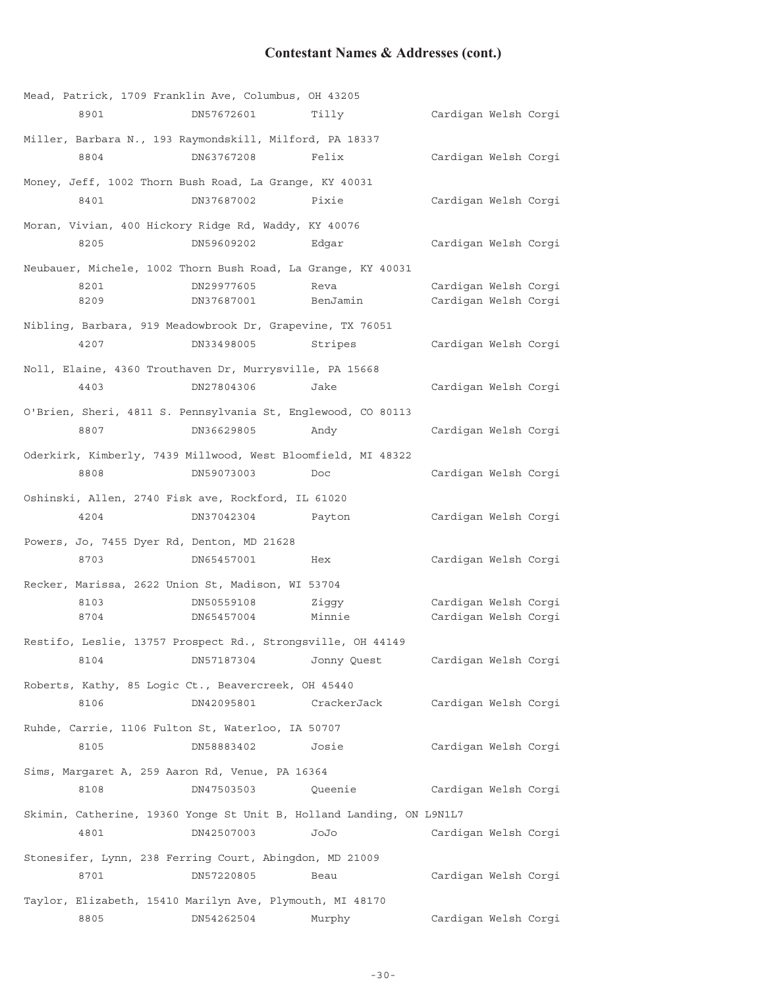# **Contestant Names & Addresses (cont.)**

|                                            | Mead, Patrick, 1709 Franklin Ave, Columbus, OH 43205         |                                                                      |                      |  |
|--------------------------------------------|--------------------------------------------------------------|----------------------------------------------------------------------|----------------------|--|
| 8901                                       | DN57672601                                                   | Tilly                                                                | Cardigan Welsh Corgi |  |
|                                            | Miller, Barbara N., 193 Raymondskill, Milford, PA 18337      |                                                                      |                      |  |
| 8804                                       | DN63767208                                                   | Felix                                                                | Cardigan Welsh Corgi |  |
|                                            | Money, Jeff, 1002 Thorn Bush Road, La Grange, KY 40031       |                                                                      |                      |  |
| 8401                                       | DN37687002                                                   | Pixie                                                                | Cardigan Welsh Corgi |  |
|                                            | Moran, Vivian, 400 Hickory Ridge Rd, Waddy, KY 40076         |                                                                      |                      |  |
| 8205                                       | DN59609202                                                   | Edqar                                                                | Cardigan Welsh Corgi |  |
|                                            | Neubauer, Michele, 1002 Thorn Bush Road, La Grange, KY 40031 |                                                                      |                      |  |
| 8201                                       | DN29977605                                                   | Reva                                                                 | Cardigan Welsh Corgi |  |
| 8209                                       | DN37687001                                                   | BenJamin                                                             | Cardigan Welsh Corgi |  |
|                                            | Nibling, Barbara, 919 Meadowbrook Dr, Grapevine, TX 76051    |                                                                      |                      |  |
| 4207                                       | DN33498005                                                   | Stripes                                                              | Cardigan Welsh Corgi |  |
|                                            | Noll, Elaine, 4360 Trouthaven Dr, Murrysville, PA 15668      |                                                                      |                      |  |
| 4403                                       | DN27804306                                                   | Jake                                                                 | Cardigan Welsh Corgi |  |
|                                            | O'Brien, Sheri, 4811 S. Pennsylvania St, Englewood, CO 80113 |                                                                      |                      |  |
| 8807                                       | DN36629805                                                   | Andy                                                                 | Cardigan Welsh Corgi |  |
|                                            | Oderkirk, Kimberly, 7439 Millwood, West Bloomfield, MI 48322 |                                                                      |                      |  |
| 8808                                       | DN59073003                                                   | Doc                                                                  | Cardigan Welsh Corgi |  |
|                                            | Oshinski, Allen, 2740 Fisk ave, Rockford, IL 61020           |                                                                      |                      |  |
| 4204                                       | DN37042304                                                   | Payton                                                               | Cardigan Welsh Corgi |  |
| Powers, Jo, 7455 Dyer Rd, Denton, MD 21628 |                                                              |                                                                      |                      |  |
| 8703                                       | DN65457001                                                   | Hex                                                                  | Cardigan Welsh Corgi |  |
|                                            | Recker, Marissa, 2622 Union St, Madison, WI 53704            |                                                                      |                      |  |
| 8103                                       | DN50559108                                                   | Ziggy                                                                | Cardigan Welsh Corgi |  |
| 8704                                       | DN65457004                                                   | Minnie                                                               | Cardigan Welsh Corgi |  |
|                                            | Restifo, Leslie, 13757 Prospect Rd., Strongsville, OH 44149  |                                                                      |                      |  |
| 8104                                       | DN57187304                                                   | Jonny Quest                                                          | Cardigan Welsh Corgi |  |
|                                            | Roberts, Kathy, 85 Logic Ct., Beavercreek, OH 45440          |                                                                      |                      |  |
| 8106                                       | DN42095801                                                   | CrackerJack                                                          | Cardigan Welsh Corgi |  |
|                                            | Ruhde, Carrie, 1106 Fulton St, Waterloo, IA 50707            |                                                                      |                      |  |
| 8105                                       | DN58883402                                                   | Josie                                                                | Cardigan Welsh Corgi |  |
|                                            | Sims, Margaret A, 259 Aaron Rd, Venue, PA 16364              |                                                                      |                      |  |
| 8108                                       | DN47503503                                                   | Queenie                                                              | Cardigan Welsh Corgi |  |
|                                            |                                                              | Skimin, Catherine, 19360 Yonge St Unit B, Holland Landing, ON L9N1L7 |                      |  |
| 4801                                       | DN42507003                                                   | JoJo                                                                 | Cardigan Welsh Corgi |  |
|                                            | Stonesifer, Lynn, 238 Ferring Court, Abingdon, MD 21009      |                                                                      |                      |  |
| 8701                                       | DN57220805                                                   | Beau                                                                 | Cardigan Welsh Corgi |  |
|                                            | Taylor, Elizabeth, 15410 Marilyn Ave, Plymouth, MI 48170     |                                                                      |                      |  |
| 8805                                       | DN54262504                                                   | Murphy                                                               | Cardigan Welsh Corgi |  |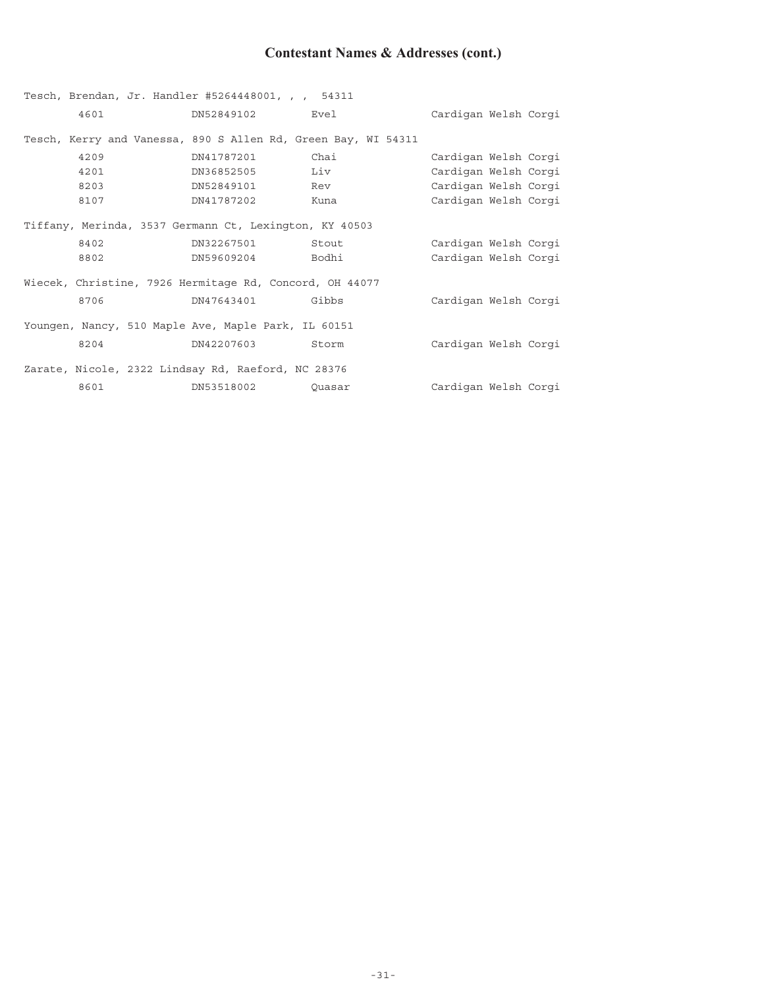# **Contestant Names & Addresses (cont.)**

|      | Tesch, Brendan, Jr. Handler #5264448001, , , 54311            |        |                      |
|------|---------------------------------------------------------------|--------|----------------------|
| 4601 | DN52849102 Evel                                               |        | Cardigan Welsh Corgi |
|      | Tesch, Kerry and Vanessa, 890 S Allen Rd, Green Bay, WI 54311 |        |                      |
| 4209 | DN41787201                                                    | Chai   | Cardigan Welsh Corgi |
| 4201 | DN36852505 Liv                                                |        | Cardigan Welsh Corgi |
| 8203 | DN52849101 Rev                                                |        | Cardigan Welsh Corgi |
| 8107 | DN41787202                                                    | Kuna   | Cardigan Welsh Corgi |
|      | Tiffany, Merinda, 3537 Germann Ct, Lexington, KY 40503        |        |                      |
| 8402 | DN32267501                                                    | Stout  | Cardigan Welsh Corgi |
| 8802 | DN59609204     Bodhi                                          |        | Cardigan Welsh Corgi |
|      | Wiecek, Christine, 7926 Hermitage Rd, Concord, OH 44077       |        |                      |
| 8706 | DN47643401 Gibbs                                              |        | Cardigan Welsh Corgi |
|      | Youngen, Nancy, 510 Maple Ave, Maple Park, IL 60151           |        |                      |
| 8204 | DN42207603 Storm                                              |        | Cardigan Welsh Corgi |
|      | Zarate, Nicole, 2322 Lindsay Rd, Raeford, NC 28376            |        |                      |
| 8601 | DN53518002                                                    | Ouasar | Cardigan Welsh Corgi |